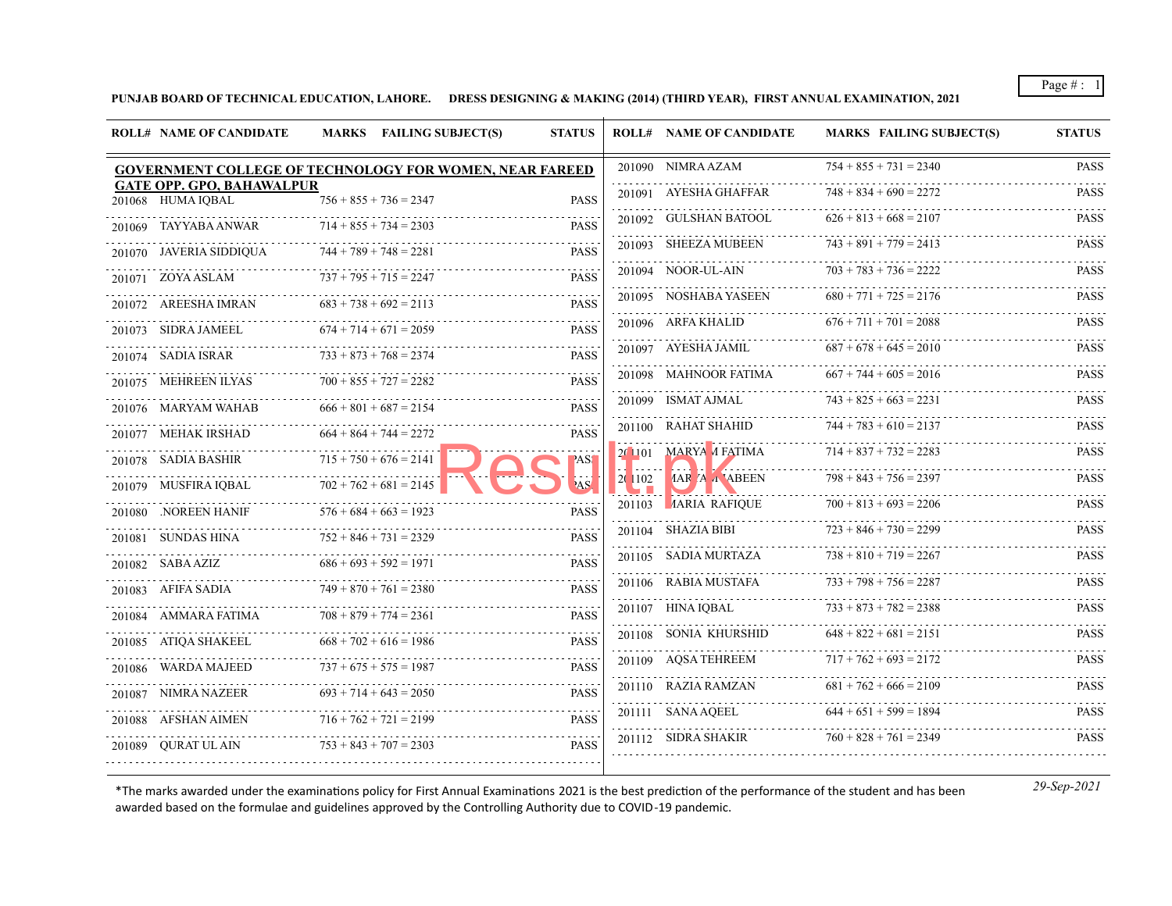**PUNJAB BOARD OF TECHNICAL EDUCATION, LAHORE. DRESS DESIGNING & MAKING (2014) (THIRD YEAR), FIRST ANNUAL EXAMINATION, 2021**

| <b>ROLL# NAME OF CANDIDATE</b>                        | MARKS FAILING SUBJECT(S)                                | <b>STATUS</b>    |         | <b>ROLL# NAME OF CANDIDATE</b> | <b>MARKS FAILING SUBJECT(S)</b> | <b>STATUS</b>    |
|-------------------------------------------------------|---------------------------------------------------------|------------------|---------|--------------------------------|---------------------------------|------------------|
|                                                       | GOVERNMENT COLLEGE OF TECHNOLOGY FOR WOMEN, NEAR FAREED |                  |         | 201090 NIMRA AZAM              | $754 + 855 + 731 = 2340$        | PASS             |
| <b>GATE OPP. GPO, BAHAWALPUR</b><br>201068 HUMA IOBAL | $756 + 855 + 736 = 2347$                                | <b>PASS</b>      |         | 201091 AYESHA GHAFFAR          | $748 + 834 + 690 = 2272$        | <b>PASS</b>      |
| 201069 TAYYABA ANWAR                                  | $714 + 855 + 734 = 2303$                                | <b>PASS</b>      |         | 201092 GULSHAN BATOOL          | $626 + 813 + 668 = 2107$        | <b>PASS</b>      |
| 201070 JAVERIA SIDDIQUA                               | $744 + 789 + 748 = 2281$                                | <b>PASS</b>      |         | 201093 SHEEZA MUBEEN           | $743 + 891 + 779 = 2413$        | <b>PASS</b>      |
| 201071 ZOYA ASLAM                                     | $737 + 795 + 715 = 2247$                                | <b>PASS</b>      |         | 201094 NOOR-UL-AIN             | $703 + 783 + 736 = 2222$        | <b>PASS</b><br>. |
| 201072 AREESHA IMRAN                                  | $683 + 738 + 692 = 2113$                                | <b>PASS</b>      |         | 201095 NOSHABA YASEEN          | $680 + 771 + 725 = 2176$        | <b>PASS</b>      |
| <b>Contractor</b><br>201073 SIDRA JAMEEL              | $674 + 714 + 671 = 2059$                                | <b>PASS</b>      |         | 201096 ARFA KHALID             | $676 + 711 + 701 = 2088$        | <b>PASS</b>      |
| 201074 SADIA ISRAR                                    | $733 + 873 + 768 = 2374$                                | <b>PASS</b>      |         | 201097 AYESHA JAMIL            | $687 + 678 + 645 = 2010$        | <b>PASS</b>      |
| 201075 MEHREEN ILYAS                                  | $700 + 855 + 727 = 2282$                                | <b>PASS</b>      |         | 201098 MAHNOOR FATIMA          | $667 + 744 + 605 = 2016$        | <b>PASS</b>      |
| 201076 MARYAM WAHAB                                   | $666 + 801 + 687 = 2154$                                | <b>PASS</b>      |         | 201099 ISMAT AJMAL             | $743 + 825 + 663 = 2231$        | <b>PASS</b>      |
| 201077 MEHAK IRSHAD                                   | $664 + 864 + 744 = 2272$                                | <b>PASS</b>      |         | 201100 RAHAT SHAHID            | $744 + 783 + 610 = 2137$        | <b>PASS</b>      |
| 201078 SADIA BASHIR                                   | $715 + 750 + 676 = 2141$                                | <b>ASS</b>       | 20 1101 | <b>MARYA</b> <i>A</i> FATIMA   | $714 + 837 + 732 = 2283$        | <b>PASS</b>      |
| 201079 MUSFIRA IQBAL $702 + 762 + 681 = 2145$         |                                                         | AS.              | 2(1102) | <b>AAR A A ABEEN</b>           | $798 + 843 + 756 = 2397$        | <b>PASS</b>      |
| 201080 .NOREEN HANIF                                  | $576 + 684 + 663 = 1923$                                | <b>PASS</b>      |         | 201103 AARIA RAFIOUE           | $700 + 813 + 693 = 2206$        | <b>PASS</b>      |
| 201081 SUNDAS HINA                                    | $752 + 846 + 731 = 2329$                                | <b>PASS</b>      |         | 201104 SHAZIA BIBI<br>.        | $723 + 846 + 730 = 2299$        | <b>PASS</b>      |
| 201082 SABA AZIZ                                      | $686 + 693 + 592 = 1971$                                | <b>PASS</b>      |         | 201105 SADIA MURTAZA<br>.      | $738 + 810 + 719 = 2267$        | <b>PASS</b>      |
| 201083 AFIFA SADIA                                    | $749 + 870 + 761 = 2380$                                | <b>PASS</b>      |         | 201106 RABIA MUSTAFA           | $733 + 798 + 756 = 2287$        | <b>PASS</b>      |
| 201084 AMMARA FATIMA                                  | $708 + 879 + 774 = 2361$                                | <b>PASS</b>      |         | 201107 HINA IQBAL              | $733 + 873 + 782 = 2388$        | <b>PASS</b>      |
| 201085 ATIQA SHAKEEL                                  | $668 + 702 + 616 = 1986$                                | <b>PASS</b>      |         | 201108 SONIA KHURSHID          | $648 + 822 + 681 = 2151$        | <b>PASS</b>      |
| 201086 WARDA MAJEED                                   | $737 + 675 + 575 = 1987$                                | .<br><b>PASS</b> |         | 201109 AQSA TEHREEM            | $717 + 762 + 693 = 2172$        | <b>PASS</b>      |
| 201087 NIMRA NAZEER                                   | $693 + 714 + 643 = 2050$                                | <b>PASS</b>      |         | 201110 RAZIA RAMZAN            | $681 + 762 + 666 = 2109$        | <b>PASS</b>      |
| <u>.</u><br>201088 AFSHAN AIMEN                       | $716 + 762 + 721 = 2199$                                | <b>PASS</b>      |         | 201111 SANA AQEEL              | $644 + 651 + 599 = 1894$        | <b>PASS</b>      |
| <u>.</u><br>201089 QURAT UL AIN                       | $753 + 843 + 707 = 2303$                                | <b>PASS</b>      |         | 201112 SIDRA SHAKIR            | $760 + 828 + 761 = 2349$        | <b>PASS</b>      |
|                                                       |                                                         |                  |         |                                |                                 |                  |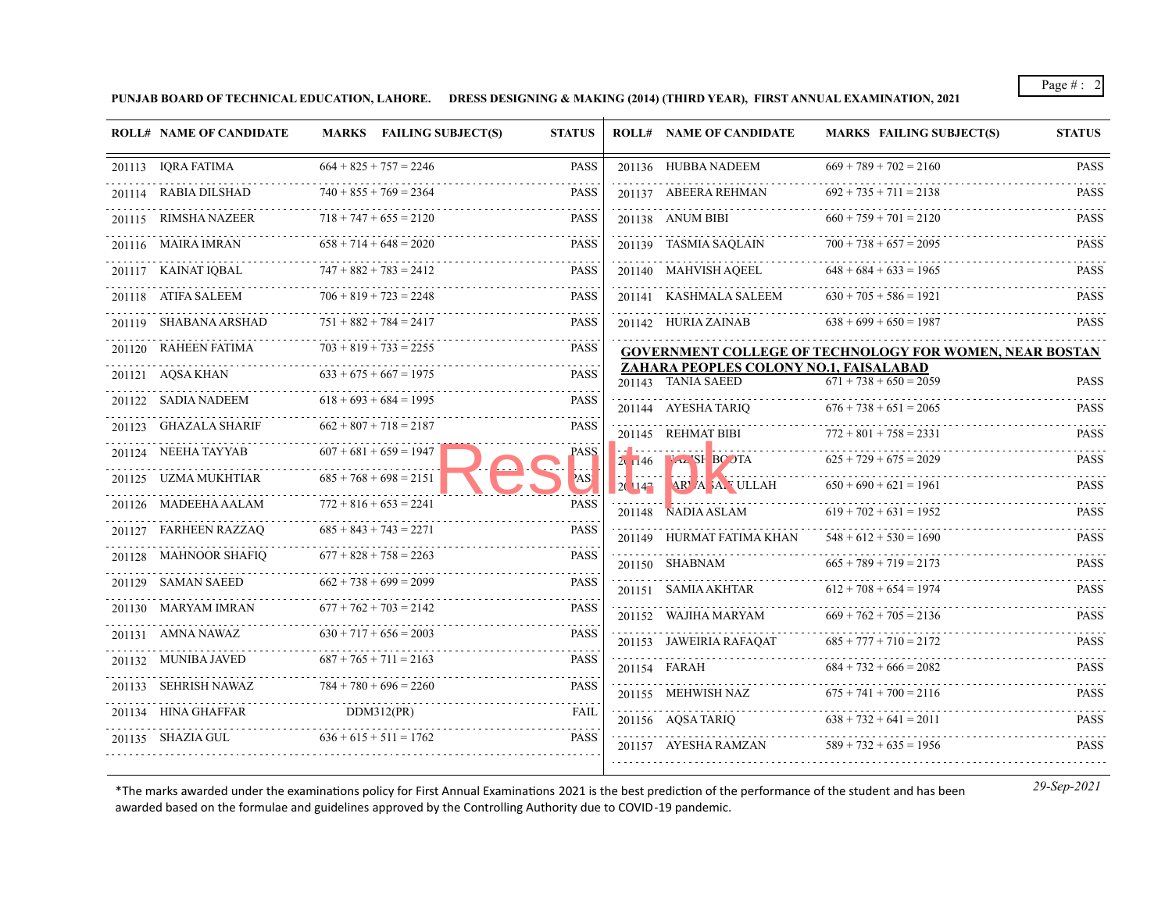**PUNJAB BOARD OF TECHNICAL EDUCATION, LAHORE. DRESS DESIGNING & MAKING (2014) (THIRD YEAR), FIRST ANNUAL EXAMINATION, 2021**

| <b>ROLL# NAME OF CANDIDATE</b>                |                          | MARKS FAILING SUBJECT(S)      | <b>STATUS</b> |        | <b>ROLL# NAME OF CANDIDATE</b>                                                                                                                            | <b>MARKS FAILING SUBJECT(S)</b>                         | <b>STATUS</b> |
|-----------------------------------------------|--------------------------|-------------------------------|---------------|--------|-----------------------------------------------------------------------------------------------------------------------------------------------------------|---------------------------------------------------------|---------------|
| 201113 IQRA FATIMA                            |                          | $664 + 825 + 757 = 2246$      | <b>PASS</b>   |        | 201136 HUBBA NADEEM                                                                                                                                       | $669 + 789 + 702 = 2160$                                | <b>PASS</b>   |
| 201114 RABIA DILSHAD                          |                          | $740 + 855 + 769 = 2364$      | <b>PASS</b>   |        | 201137 ABEERA REHMAN                                                                                                                                      | $692 + 735 + 711 = 2138$                                | <b>PASS</b>   |
| 201115 RIMSHA NAZEER                          |                          | $718 + 747 + 655 = 2120$      | <b>PASS</b>   |        | 201138 ANUM BIBI                                                                                                                                          | $660 + 759 + 701 = 2120$                                | <b>PASS</b>   |
| .<br>201116 MAIRA IMRAN                       |                          | $658 + 714 + 648 = 2020$      | <b>PASS</b>   |        | 201139 TASMIA SAQLAIN                                                                                                                                     | $700 + 738 + 657 = 2095$                                | <b>PASS</b>   |
| 201117 KAINAT IQBAL                           | $747 + 882 + 783 = 2412$ |                               | PASS          |        | 201140 MAHVISH AQEEL                                                                                                                                      | $648 + 684 + 633 = 1965$                                | <b>PASS</b>   |
| 201118 ATIFA SALEEM                           |                          | $706 + 819 + 723 = 2248$      | PASS          |        | 201141 KASHMALA SALEEM                                                                                                                                    | $630 + 705 + 586 = 1921$                                | <b>PASS</b>   |
| 201119 SHABANA ARSHAD                         |                          | $751 + 882 + 784 = 2417$      | <b>PASS</b>   |        | 201142 HURIA ZAINAB                                                                                                                                       | $638 + 699 + 650 = 1987$                                | <b>PASS</b>   |
| 201120 RAHEEN FATIMA $703 + 819 + 733 = 2255$ |                          |                               | <b>PASS</b>   |        |                                                                                                                                                           | GOVERNMENT COLLEGE OF TECHNOLOGY FOR WOMEN, NEAR BOSTAN |               |
| 201121 AQSA KHAN                              |                          | $633 + 675 + 667 = 1975$      | <b>PASS</b>   |        | ZAHARA PEOPLES COLONY NO.1, FAISALABAD<br>201143 TANIA SAEED                                                                                              | $671 + 738 + 650 = 2059$                                | <b>PASS</b>   |
| 201122 SADIA NADEEM                           |                          | $618 + 693 + 684 = 1995$      | <b>PASS</b>   |        | 201144 AYESHA TARIO                                                                                                                                       | $676 + 738 + 651 = 2065$                                | <b>PASS</b>   |
| 201123 GHAZALA SHARIF                         |                          | $662 + 807 + 718 = 2187$      | <b>PASS</b>   |        | 201145 REHMAT BIBI                                                                                                                                        | $772 + 801 + 758 = 2331$                                | <b>PASS</b>   |
| 201124 NEEHA TAYYAB $607 + 681 + 659 = 1947$  |                          |                               | PASS          |        | $2.146$ $\text{A}$ SF BC OTA                                                                                                                              | $625 + 729 + 675 = 2029$                                | <b>PASS</b>   |
| 201125 UZMA MUKHTIAR                          |                          | $685 + 768 + 698 = 2151$      | AS:           | 2(147) | $\begin{bmatrix} \cdots & \cdots & \cdots \end{bmatrix}$ . $\begin{bmatrix} \mathbf{X} & \cdots & \cdots & \cdots & \cdots \end{bmatrix}$<br>AR A A ULLAH | $650 + 690 + 621 = 1961$ PASS                           |               |
| 201126 MADEEHA AALAM $772 + 816 + 653 = 2241$ |                          |                               | <b>PASS</b>   |        | 201148 NADIA ASLAM                                                                                                                                        | $619 + 702 + 631 = 1952$                                | <b>PASS</b>   |
| 201127 FARHEEN RAZZAQ                         |                          | $685 + 843 + 743 = 2271$      | <b>PASS</b>   |        | 201149 HURMAT FATIMA KHAN                                                                                                                                 | $548 + 612 + 530 = 1690$                                | <b>PASS</b>   |
| 201128 MAHNOOR SHAFIQ                         |                          | $677 + 828 + 758 = 2263$      | <b>PASS</b>   |        | 201150 SHABNAM                                                                                                                                            | $665 + 789 + 719 = 2173$                                | <b>PASS</b>   |
| 201129 SAMAN SAEED                            |                          | $662 + 738 + 699 = 2099$      | <b>PASS</b>   |        | 201151 SAMIA AKHTAR                                                                                                                                       | $612 + 708 + 654 = 1974$                                | <b>PASS</b>   |
| 201130 MARYAM IMRAN                           |                          | $677 + 762 + 703 = 2142$      | <b>PASS</b>   |        | 201152 WAJIHA MARYAM                                                                                                                                      | $669 + 762 + 705 = 2136$                                | <b>PASS</b>   |
| 201131 AMNA NAWAZ                             |                          | $630 + 717 + 656 = 2003$ PASS | PASS          |        | 201153 JAWEIRIA RAFAQAT                                                                                                                                   | $685 + 777 + 710 = 2172$                                | <b>PASS</b>   |
| 201132 MUNIBA JAVED                           |                          | $687 + 765 + 711 = 2163$      | <b>PASS</b>   |        | 201154 FARAH                                                                                                                                              | $684 + 732 + 666 = 2082$                                | <b>PASS</b>   |
| 201133 SEHRISH NAWAZ                          |                          | $784 + 780 + 696 = 2260$      | <b>PASS</b>   |        | 201155 MEHWISH NAZ                                                                                                                                        | $675 + 741 + 700 = 2116$                                | <b>PASS</b>   |
| 201134 HINA GHAFFAR                           | DDM312(PR)               |                               | <b>FAIL</b>   |        | 201156 AQSA TARIQ                                                                                                                                         | $638 + 732 + 641 = 2011$                                | <b>PASS</b>   |
| 201135 SHAZIA GUL                             |                          | $636 + 615 + 511 = 1762$      | <b>PASS</b>   |        | 201157 AYESHA RAMZAN                                                                                                                                      | $589 + 732 + 635 = 1956$                                | <b>PASS</b>   |
|                                               |                          |                               |               |        |                                                                                                                                                           |                                                         |               |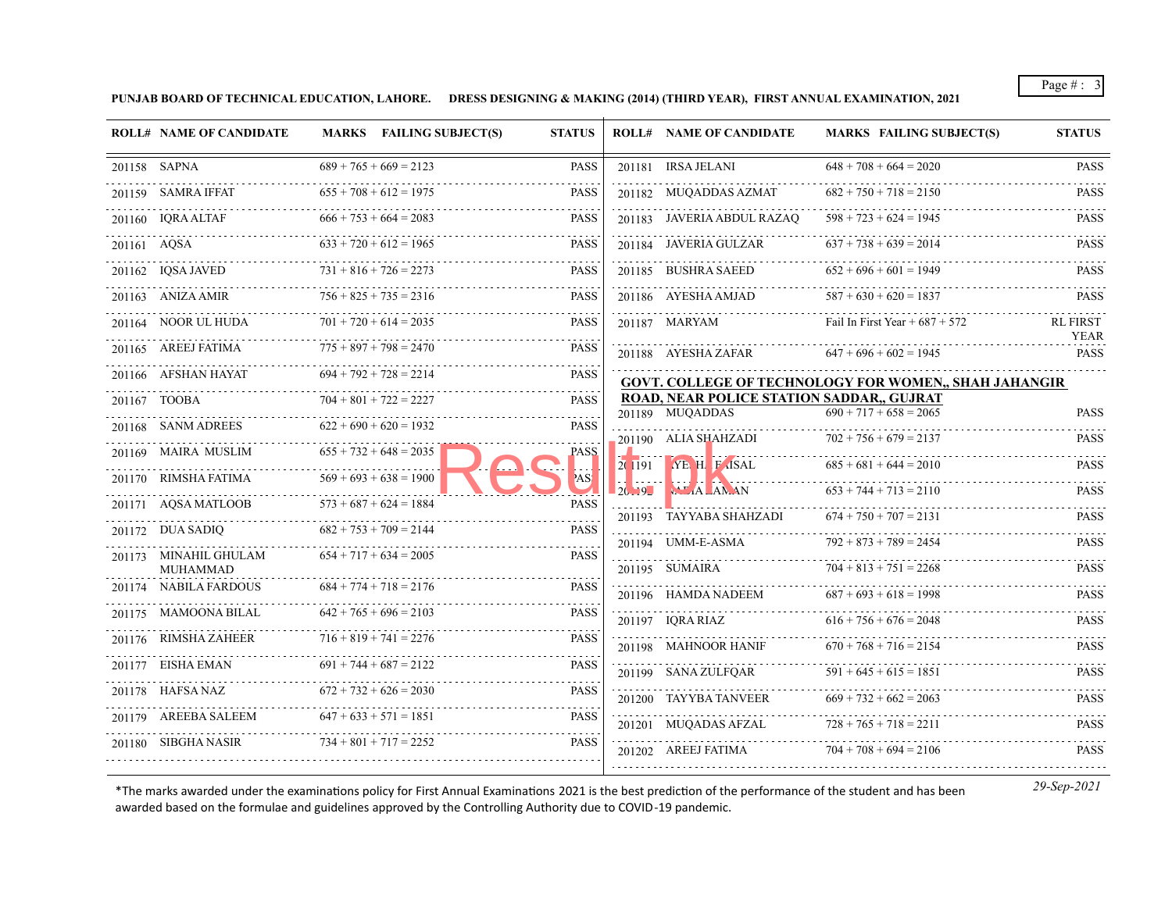**PUNJAB BOARD OF TECHNICAL EDUCATION, LAHORE. DRESS DESIGNING & MAKING (2014) (THIRD YEAR), FIRST ANNUAL EXAMINATION, 2021**

| <b>ROLL# NAME OF CANDIDATE</b>    | MARKS FAILING SUBJECT(S) | <b>STATUS</b> |       | <b>ROLL# NAME OF CANDIDATE</b>                               | <b>MARKS FAILING SUBJECT(S)</b>                              | <b>STATUS</b>              |
|-----------------------------------|--------------------------|---------------|-------|--------------------------------------------------------------|--------------------------------------------------------------|----------------------------|
| 201158 SAPNA                      | $689 + 765 + 669 = 2123$ | <b>PASS</b>   |       | 201181 IRSA JELANI                                           | $648 + 708 + 664 = 2020$                                     | <b>PASS</b>                |
| 201159 SAMRA IFFAT                | $655 + 708 + 612 = 1975$ | <b>PASS</b>   |       | 201182 MUQADDAS AZMAT                                        | $682 + 750 + 718 = 2150$                                     | <b>PASS</b>                |
| 201160 IQRA ALTAF                 | $666 + 753 + 664 = 2083$ | <b>PASS</b>   |       | 201183 JAVERIA ABDUL RAZAO                                   | $598 + 723 + 624 = 1945$                                     | PASS                       |
| 201161 AQSA                       | $633 + 720 + 612 = 1965$ | <b>PASS</b>   |       | 201184 JAVERIA GULZAR                                        | $637 + 738 + 639 = 2014$                                     | <b>PASS</b>                |
| 201162 IQSA JAVED                 | $731 + 816 + 726 = 2273$ | <b>PASS</b>   |       | 201185 BUSHRA SAEED                                          | $652 + 696 + 601 = 1949$                                     | <b>PASS</b>                |
| .<br>201163 ANIZA AMIR            | $756 + 825 + 735 = 2316$ | <b>PASS</b>   |       | 201186 AYESHA AMJAD                                          | $587 + 630 + 620 = 1837$                                     | <b>PASS</b>                |
| 201164 NOOR UL HUDA               | $701 + 720 + 614 = 2035$ | <b>PASS</b>   |       | .<br>201187 MARYAM                                           | .<br>Fail In First Year + $687 + 572$                        | <b>RL FIRST</b>            |
| 201165 AREEJ FATIMA               | $775 + 897 + 798 = 2470$ | <b>PASS</b>   |       | 201188 AYESHA ZAFAR                                          | $647 + 696 + 602 = 1945$                                     | <b>YEAR</b><br><b>PASS</b> |
| .<br>201166 AFSHAN HAYAT          | $694 + 792 + 728 = 2214$ | <b>PASS</b>   |       |                                                              | <b>GOVT. COLLEGE OF TECHNOLOGY FOR WOMEN,, SHAH JAHANGIR</b> |                            |
| 201167 TOOBA                      | $704 + 801 + 722 = 2227$ | <b>PASS</b>   |       | ROAD, NEAR POLICE STATION SADDAR,, GUJRAT<br>201189 MUQADDAS | $690 + 717 + 658 = 2065$                                     | <b>PASS</b>                |
| 201168 SANM ADREES                | $622 + 690 + 620 = 1932$ | <b>PASS</b>   |       | 201190 ALIA SHAHZADI                                         | $702 + 756 + 679 = 2137$                                     | <b>PASS</b>                |
| 201169 MAIRA MUSLIM               | $655 + 732 + 648 = 2035$ | PASS          |       | $2(191)$ YE H F ISAL                                         | $685 + 681 + 644 = 2010$                                     | <b>PASS</b>                |
| 201170 RIMSHA FATIMA              | $569 + 693 + 638 = 1900$ | AS!           | 20.19 | $\mathsf{ALA}$ $\mathsf{AN}$ AN                              | $653 + 744 + 713 = 2110$                                     | <b>PASS</b>                |
| 201171 AQSA MATLOOB               | $573 + 687 + 624 = 1884$ | <b>PASS</b>   |       | 201193 TAYYABA SHAHZADI                                      | $674 + 750 + 707 = 2131$                                     | <b>PASS</b>                |
| 201172 DUA SADIQ                  | $682 + 753 + 709 = 2144$ | <b>PASS</b>   |       | 201194 UMM-E-ASMA                                            | $792 + 873 + 789 = 2454$                                     | <b>PASS</b>                |
| 201173 MINAHIL GHULAM<br>MUHAMMAD | $654 + 717 + 634 = 2005$ | <b>PASS</b>   |       | 201195 SUMAIRA                                               | $704 + 813 + 751 = 2268$                                     | <b>PASS</b>                |
| 201174 NABILA FARDOUS             | $684 + 774 + 718 = 2176$ | <b>PASS</b>   |       | 201196 HAMDA NADEEM                                          | $687 + 693 + 618 = 1998$                                     | <b>PASS</b>                |
| 201175 MAMOONA BILAL              | $642 + 765 + 696 = 2103$ | <b>PASS</b>   |       | 201197 IQRA RIAZ                                             | $616 + 756 + 676 = 2048$                                     | <b>PASS</b>                |
| 201176 RIMSHA ZAHEER              | $716 + 819 + 741 = 2276$ | <b>PASS</b>   |       | 201198 MAHNOOR HANIF                                         | $670 + 768 + 716 = 2154$                                     | <b>PASS</b>                |
| .<br>201177 EISHA EMAN            | $691 + 744 + 687 = 2122$ | <b>PASS</b>   |       | 201199 SANA ZULFQAR                                          | $591 + 645 + 615 = 1851$                                     | <b>PASS</b>                |
| 201178 HAFSA NAZ                  | $672 + 732 + 626 = 2030$ | <b>PASS</b>   |       | 201200 TAYYBA TANVEER                                        | $669 + 732 + 662 = 2063$                                     | <b>PASS</b>                |
| 201179 AREEBA SALEEM              | $647 + 633 + 571 = 1851$ | <b>PASS</b>   |       | 201201 MUQADAS AFZAL                                         | .<br>$728 + 765 + 718 = 2211$                                | <b>PASS</b>                |
| 201180 SIBGHA NASIR               | $734 + 801 + 717 = 2252$ | <b>PASS</b>   |       | 201202 AREEJ FATIMA                                          | $704 + 708 + 694 = 2106$                                     | <b>PASS</b>                |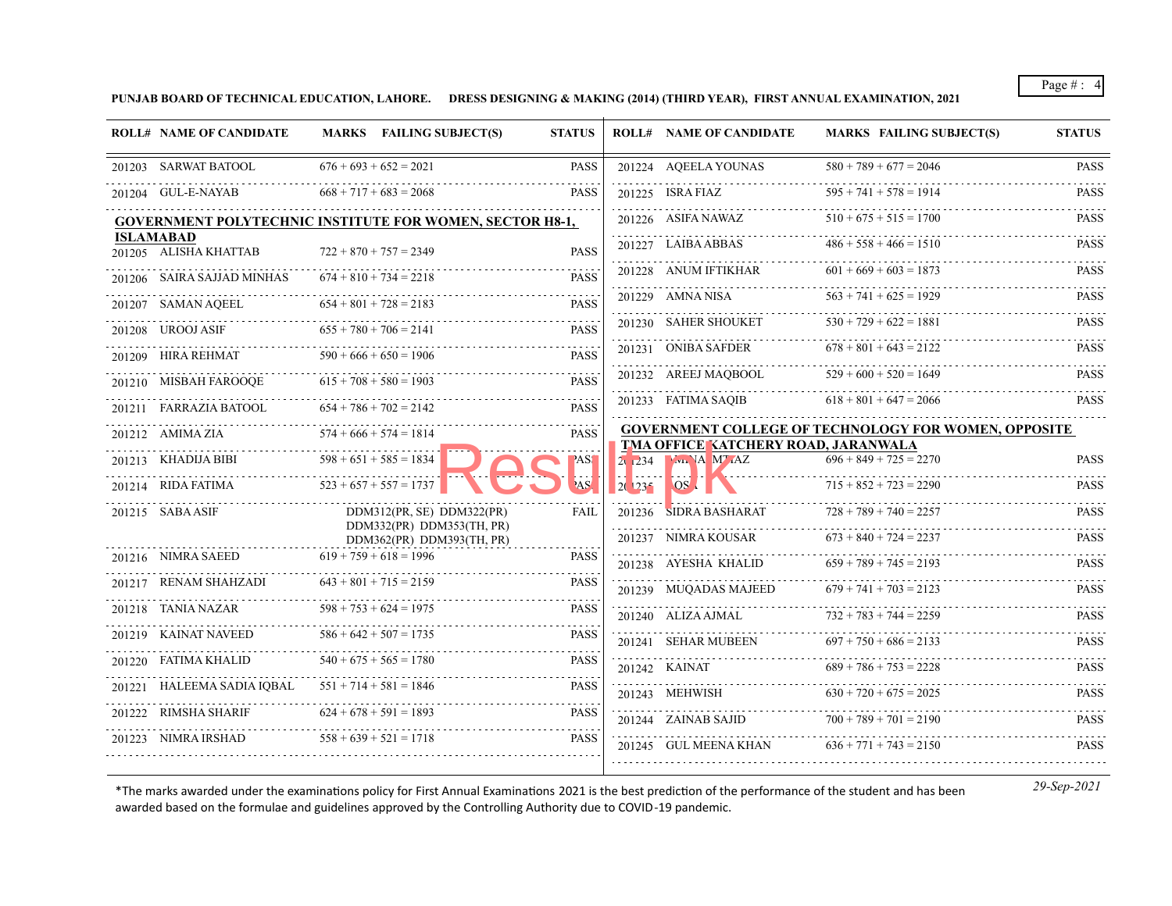**PUNJAB BOARD OF TECHNICAL EDUCATION, LAHORE. DRESS DESIGNING & MAKING (2014) (THIRD YEAR), FIRST ANNUAL EXAMINATION, 2021**

| <b>ROLL# NAME OF CANDIDATE</b>                      |                          | MARKS FAILING SUBJECT(S)                                        | <b>STATUS</b> |          | <b>ROLL# NAME OF CANDIDATE</b>                            | <b>MARKS FAILING SUBJECT(S)</b>                             | <b>STATUS</b> |
|-----------------------------------------------------|--------------------------|-----------------------------------------------------------------|---------------|----------|-----------------------------------------------------------|-------------------------------------------------------------|---------------|
| 201203 SARWAT BATOOL                                |                          | $676 + 693 + 652 = 2021$                                        | <b>PASS</b>   |          | 201224 AQEELA YOUNAS                                      | $580 + 789 + 677 = 2046$                                    | <b>PASS</b>   |
| 201204 GUL-E-NAYAB                                  |                          | $668 + 717 + 683 = 2068$                                        | <b>PASS</b>   |          | 201225 ISRA FIAZ                                          | $1225$ ISRA FIAZ $595 + 741 + 578 = 1914$ PASS              |               |
|                                                     |                          | <b>GOVERNMENT POLYTECHNIC INSTITUTE FOR WOMEN, SECTOR H8-1,</b> |               |          | 201226 ASIFA NAWAZ                                        | $510 + 675 + 515 = 1700$                                    | <b>PASS</b>   |
| <b>ISLAMABAD</b><br>201205 ALISHA KHATTAB           |                          | $722 + 870 + 757 = 2349$                                        | <b>PASS</b>   |          | 201227 LAIBA ABBAS                                        | $486 + 558 + 466 = 1510$ PASS                               |               |
| 201206 SAIRA SAJJAD MINHAS                          |                          | $674 + 810 + 734 = 2218$                                        | <b>PASS</b>   |          | 201228 ANUM IFTIKHAR                                      | $601 + 669 + 603 = 1873$                                    | <b>PASS</b>   |
| 201207 SAMAN AQEEL                                  |                          | $654 + 801 + 728 = 2183$                                        | <b>PASS</b>   |          | 201229 AMNA NISA                                          | $563 + 741 + 625 = 1929$                                    | <b>PASS</b>   |
| 201208 UROOJ ASIF                                   |                          | $655 + 780 + 706 = 2141$                                        | <b>PASS</b>   |          | 201230 SAHER SHOUKET                                      | $530 + 729 + 622 = 1881$                                    | <b>PASS</b>   |
| 201209 HIRA REHMAT                                  |                          | $590 + 666 + 650 = 1906$                                        | <b>PASS</b>   |          | 201231 ONIBA SAFDER                                       | $678 + 801 + 643 = 2122$                                    | <b>PASS</b>   |
| 201210 MISBAH FAROOQE                               |                          | $615 + 708 + 580 = 1903$                                        | <b>PASS</b>   |          | 201232 AREEJ MAOBOOL                                      | $529 + 600 + 520 = 1649$                                    | <b>PASS</b>   |
| 201211 FARRAZIA BATOOL                              |                          | $654 + 786 + 702 = 2142$                                        | <b>PASS</b>   |          | 201233 FATIMA SAQIB                                       | $618 + 801 + 647 = 2066$                                    | <b>PASS</b>   |
| .<br>201212 AMIMA ZIA                               | $574 + 666 + 574 = 1814$ |                                                                 | <b>PASS</b>   |          |                                                           | <b>GOVERNMENT COLLEGE OF TECHNOLOGY FOR WOMEN, OPPOSITE</b> |               |
| 201213 KHADIJA BIBI $598 + 651 + 585 = 1834$        |                          |                                                                 | <b>PASS</b>   |          | TMA OFFICE KATCHERY ROAD, JARANWALA<br>2. 234 M. VA M. AZ | $696 + 849 + 725 = 2270$                                    | <b>PASS</b>   |
| 201214 RIDA FATIMA $523 + 657 + 557 = 1737$         |                          |                                                                 | AS'           | $20\,23$ | OS <sub>A</sub>                                           | $715 + 852 + 723 = 2290$                                    | <b>PASS</b>   |
| 201215 SABA ASIF                                    |                          | DDM312(PR, SE) DDM322(PR)                                       | FAIL          |          | 201236 SIDRA BASHARAT                                     | $728 + 789 + 740 = 2257$                                    | <b>PASS</b>   |
|                                                     |                          | DDM332(PR) DDM353(TH, PR)<br>DDM362(PR) DDM393(TH, PR)          |               |          | 201237 NIMRA KOUSAR                                       | $673 + 840 + 724 = 2237$                                    | <b>PASS</b>   |
| 201216 NIMRA SAEED                                  |                          | $619 + 759 + 618 = 1996$                                        | <b>PASS</b>   |          | 201238 AYESHA KHALID                                      | $659 + 789 + 745 = 2193$                                    | <b>PASS</b>   |
| 201217 RENAM SHAHZADI<br>.                          |                          | $643 + 801 + 715 = 2159$                                        | <b>PASS</b>   |          | 201239 MUQADAS MAJEED                                     | $679 + 741 + 703 = 2123$                                    | <b>PASS</b>   |
| 201218 TANIA NAZAR $598 + 753 + 624 = 1975$         |                          |                                                                 | <b>PASS</b>   |          | 201240 ALIZA AJMAL                                        | $732 + 783 + 744 = 2259$                                    | <b>PASS</b>   |
| 201219 KAINAT NAVEED                                |                          | $586 + 642 + 507 = 1735$                                        | <b>PASS</b>   |          | 201241 SEHAR MUBEEN                                       | $697 + 750 + 686 = 2133$                                    | <b>PASS</b>   |
| 201220 FATIMA KHALID                                |                          | $540 + 675 + 565 = 1780$                                        | <b>PASS</b>   |          | 201242 KAINAT                                             | $689 + 786 + 753 = 2228$                                    | <b>PASS</b>   |
| 201221 HALEEMA SADIA IQBAL $551 + 714 + 581 = 1846$ |                          |                                                                 | <b>PASS</b>   |          | 201243 MEHWISH                                            | $630 + 720 + 675 = 2025$                                    | <b>PASS</b>   |
| 201222 RIMSHA SHARIF                                |                          | $624 + 678 + 591 = 1893$                                        | <b>PASS</b>   |          | .<br>201244 ZAINAB SAJID                                  | $700 + 789 + 701 = 2190$                                    | <b>PASS</b>   |
| 201223 NIMRA IRSHAD                                 |                          | $558 + 639 + 521 = 1718$                                        | <b>PASS</b>   |          | 201245 GUL MEENA KHAN                                     | $636 + 771 + 743 = 2150$                                    | <b>PASS</b>   |
|                                                     |                          |                                                                 |               |          |                                                           |                                                             |               |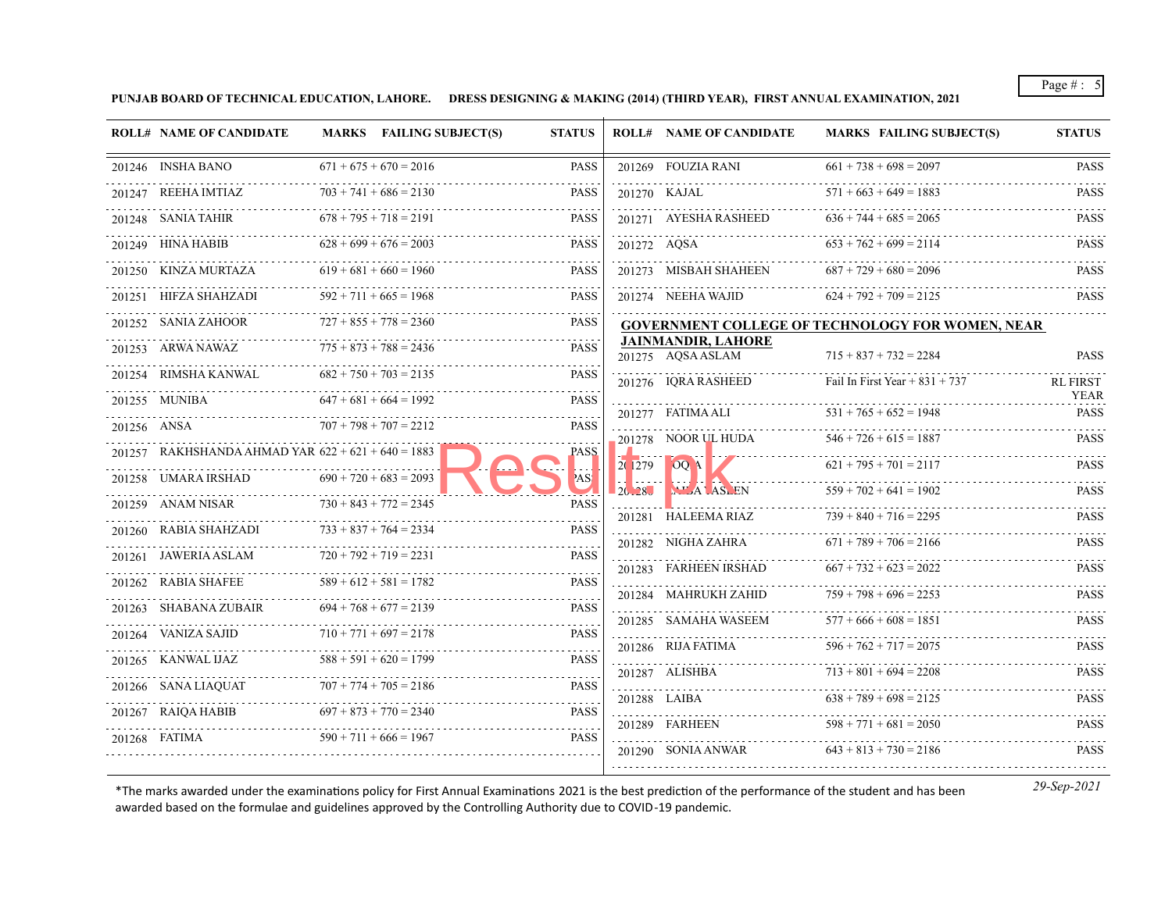**PUNJAB BOARD OF TECHNICAL EDUCATION, LAHORE. DRESS DESIGNING & MAKING (2014) (THIRD YEAR), FIRST ANNUAL EXAMINATION, 2021**

|        | <b>ROLL# NAME OF CANDIDATE</b>                       | MARKS FAILING SUBJECT(S) | <b>STATUS</b> |        | <b>ROLL# NAME OF CANDIDATE</b>                 | <b>MARKS FAILING SUBJECT(S)</b>                  | <b>STATUS</b>              |
|--------|------------------------------------------------------|--------------------------|---------------|--------|------------------------------------------------|--------------------------------------------------|----------------------------|
|        | 201246 INSHA BANO                                    | $671 + 675 + 670 = 2016$ | <b>PASS</b>   |        | 201269 FOUZIA RANI                             | $661 + 738 + 698 = 2097$                         | <b>PASS</b>                |
|        | 201247 REEHA IMTIAZ                                  | $703 + 741 + 686 = 2130$ | <b>PASS</b>   |        | 201270 KAJAL                                   | $571 + 663 + 649 = 1883$                         | .<br>PASS                  |
|        | 201248 SANIA TAHIR                                   | $678 + 795 + 718 = 2191$ | <b>PASS</b>   |        | 201271 AYESHA RASHEED                          | $636 + 744 + 685 = 2065$                         | <b>PASS</b>                |
|        | 201249 HINA HABIB                                    | $628 + 699 + 676 = 2003$ | <b>PASS</b>   |        | 201272 AOSA                                    | $653 + 762 + 699 = 2114$                         | PASS                       |
|        | 201250 KINZA MURTAZA                                 | $619 + 681 + 660 = 1960$ | <b>PASS</b>   |        | 201273 MISBAH SHAHEEN                          | $687 + 729 + 680 = 2096$                         | PASS                       |
|        | 201251 HIFZA SHAHZADI                                | $592 + 711 + 665 = 1968$ | <b>PASS</b>   |        | 201274 NEEHA WAJID                             | $624 + 792 + 709 = 2125$                         | .<br>PASS                  |
|        | 201252 SANIA ZAHOOR                                  | $727 + 855 + 778 = 2360$ | <b>PASS</b>   |        |                                                | GOVERNMENT COLLEGE OF TECHNOLOGY FOR WOMEN, NEAR |                            |
|        | 201253 ARWA NAWAZ                                    | $775 + 873 + 788 = 2436$ | <b>PASS</b>   |        | <b>JAINMANDIR, LAHORE</b><br>201275 AQSA ASLAM | $715 + 837 + 732 = 2284$                         | PASS                       |
|        | 201254 RIMSHA KANWAL                                 | $682 + 750 + 703 = 2135$ | <b>PASS</b>   |        | 201276 IQRA RASHEED                            | Fail In First Year + $831 + 737$                 | <b>RL FIRST</b>            |
|        | .<br>201255 MUNIBA                                   | $647 + 681 + 664 = 1992$ | <b>PASS</b>   |        | 201277 FATIMA ALI                              | $531 + 765 + 652 = 1948$                         | <b>YEAR</b><br><b>PASS</b> |
|        | 201256 ANSA                                          | $707 + 798 + 707 = 2212$ | <b>PASS</b>   |        | 201278 NOOR UL HUDA                            | 78 NOOR UL HUDA $546 + 726 + 615 = 1887$ PASS    |                            |
|        | 201257 RAKHSHANDA AHMAD YAR $622 + 621 + 640 = 1883$ |                          | PASS_         |        |                                                | $621 + 795 + 701 = 2117$                         | <b>PASS</b>                |
|        | 201258 UMARA IRSHAD                                  | $690 + 720 + 683 = 2093$ | 'AS           | 201279 | OOA<br>BLEN AS EN                              | $559 + 702 + 641 = 1902$                         |                            |
|        | 201259 ANAM NISAR                                    | $730 + 843 + 772 = 2345$ | <b>PASS</b>   |        |                                                |                                                  | PASS                       |
|        | 201260 RABIA SHAHZADI                                | $733 + 837 + 764 = 2334$ | <b>PASS</b>   |        | 201281 HALEEMA RIAZ                            | $739 + 840 + 716 = 2295$                         | PASS                       |
|        | 201261 JAWERIA ASLAM                                 | $720 + 792 + 719 = 2231$ | <b>PASS</b>   |        | 201282 NIGHA ZAHRA                             | $671 + 789 + 706 = 2166$                         | PASS                       |
|        | 201262 RABIA SHAFEE                                  | $589 + 612 + 581 = 1782$ | <b>PASS</b>   |        | 201283 FARHEEN IRSHAD                          | $667 + 732 + 623 = 2022$                         | PASS                       |
|        | 201263 SHABANA ZUBAIR                                | $694 + 768 + 677 = 2139$ | <b>PASS</b>   |        | 201284 MAHRUKH ZAHID                           | $759 + 798 + 696 = 2253$                         | PASS                       |
| 201264 | VANIZA SAJID                                         | $710 + 771 + 697 = 2178$ | <b>PASS</b>   |        | 201285 SAMAHA WASEEM                           | $577 + 666 + 608 = 1851$                         | PASS                       |
|        | 201265 KANWAL IJAZ                                   | $588 + 591 + 620 = 1799$ | <b>PASS</b>   |        | 201286 RIJA FATIMA                             | $596 + 762 + 717 = 2075$                         | PASS                       |
|        | 201266 SANA LIAQUAT                                  | $707 + 774 + 705 = 2186$ | <b>PASS</b>   |        | 201287 ALISHBA                                 | $713 + 801 + 694 = 2208$                         | PASS                       |
| 201267 | RAIQA HABIB                                          | $697 + 873 + 770 = 2340$ | <b>PASS</b>   |        | 201288 LAIBA<br>.                              | $638 + 789 + 698 = 2125$                         | <b>PASS</b>                |
|        | 201268 FATIMA                                        | $590 + 711 + 666 = 1967$ | <b>PASS</b>   |        | 201289 FARHEEN                                 | $598 + 771 + 681 = 2050$                         | PASS                       |
|        |                                                      |                          |               |        | 201290 SONIA ANWAR                             | $643 + 813 + 730 = 2186$                         | PASS                       |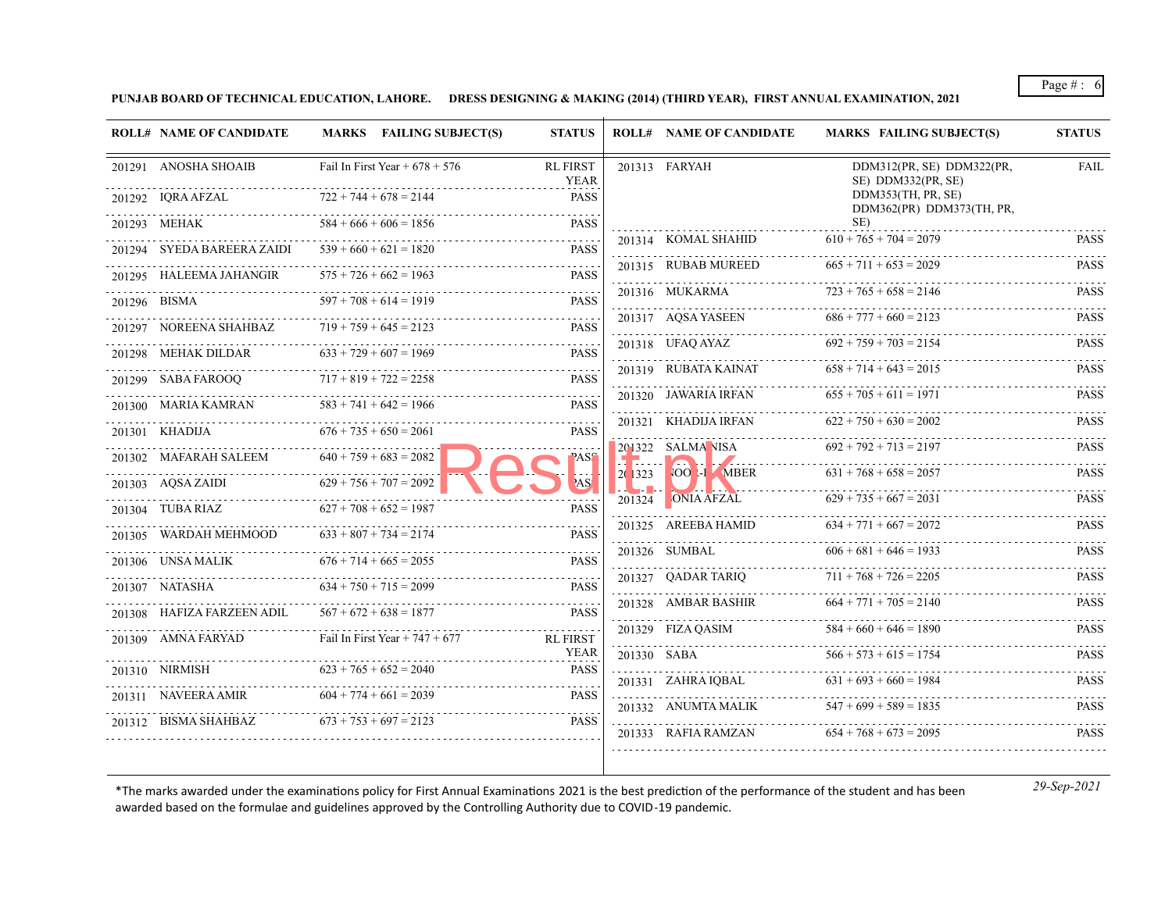**PUNJAB BOARD OF TECHNICAL EDUCATION, LAHORE. DRESS DESIGNING & MAKING (2014) (THIRD YEAR), FIRST ANNUAL EXAMINATION, 2021**

| <b>ROLL# NAME OF CANDIDATE</b> | MARKS FAILING SUBJECT(S)         | <b>STATUS</b>                  |                                         | <b>ROLL# NAME OF CANDIDATE</b> | MARKS FAILING SUBJECT(S)                             | <b>STATUS</b>              |
|--------------------------------|----------------------------------|--------------------------------|-----------------------------------------|--------------------------------|------------------------------------------------------|----------------------------|
| 201291 ANOSHA SHOAIB           | Fail In First Year + $678 + 576$ | <b>RL FIRST</b><br>YEAR        |                                         | 201313 FARYAH                  | DDM312(PR, SE) DDM322(PR,<br>SE) DDM332(PR, SE)      | <b>FAIL</b>                |
| 201292 IQRA AFZAL              | $722 + 744 + 678 = 2144$         | <b>PASS</b>                    |                                         |                                | DDM353(TH, PR, SE)<br>DDM362(PR) DDM373(TH, PR,      |                            |
| 201293 MEHAK                   | $584 + 666 + 606 = 1856$         | <b>PASS</b>                    |                                         |                                | SE)                                                  |                            |
| 201294 SYEDA BAREERA ZAIDI     | $539 + 660 + 621 = 1820$         | <b>PASS</b>                    |                                         | 201314 KOMAL SHAHID            | $610 + 765 + 704 = 2079$<br>$665 + 711 + 653 = 2029$ | <b>PASS</b><br><b>PASS</b> |
| 201295 HALEEMA JAHANGIR        | $575 + 726 + 662 = 1963$         | <b>PASS</b>                    |                                         | 201315 RUBAB MUREED            |                                                      |                            |
| 201296 BISMA                   | $597 + 708 + 614 = 1919$         | <b>PASS</b>                    |                                         | 201316 MUKARMA                 | $723 + 765 + 658 = 2146$                             | <b>PASS</b>                |
| 201297 NOREENA SHAHBAZ         | $719 + 759 + 645 = 2123$         | PASS                           |                                         | 201317 AQSA YASEEN             | $686 + 777 + 660 = 2123$                             | <b>PASS</b>                |
| 201298 MEHAK DILDAR            | $633 + 729 + 607 = 1969$         | <b>PASS</b>                    |                                         | 201318 UFAQ AYAZ               | $692 + 759 + 703 = 2154$                             | <b>PASS</b>                |
| 201299 SABA FAROOQ             | $717 + 819 + 722 = 2258$         | <b>PASS</b>                    |                                         | 201319 RUBATA KAINAT           | $658 + 714 + 643 = 2015$                             | <b>PASS</b>                |
| 201300 MARIA KAMRAN            | $583 + 741 + 642 = 1966$         | <b>PASS</b>                    |                                         | 201320 JAWARIA IRFAN           | $655 + 705 + 611 = 1971$                             | PASS                       |
| 201301 KHADIJA                 | $676 + 735 + 650 = 2061$         | <b>PASS</b>                    |                                         | 201321 KHADIJA IRFAN           | $622 + 750 + 630 = 2002$                             | <b>PASS</b>                |
| 201302 MAFARAH SALEEM          | .<br>$640 + 759 + 683 = 2082$    | ASS                            |                                         | $201322$ SALMA NISA            | $692 + 792 + 713 = 2197$                             | <b>PASS</b>                |
| 201303 AQSA ZAIDI              | $629 + 756 + 707 = 2092$         | 'AS                            | 2(1323)                                 | .<br>VOOLI MBER                | $631 + 768 + 658 = 2057$                             | <b>PASS</b>                |
| 201304 TUBA RIAZ               | $627 + 708 + 652 = 1987$         | PASS                           | $\mathcal{L} = \mathcal{L} \mathcal{L}$ | $201324$ ONIA AFZAL            | $629 + 735 + 667 = 2031$                             | <b>PASS</b>                |
| 201305 WARDAH MEHMOOD          | $633 + 807 + 734 = 2174$         | <b>PASS</b>                    |                                         | 201325 AREEBA HAMID            | $634 + 771 + 667 = 2072$                             | PASS                       |
| 201306 UNSA MALIK              | $676 + 714 + 665 = 2055$         | <b>PASS</b>                    |                                         | 201326 SUMBAL                  | $606 + 681 + 646 = 1933$                             | PASS                       |
| 201307 NATASHA                 | $634 + 750 + 715 = 2099$         | <b>PASS</b>                    |                                         | 201327 QADAR TARIQ             | $711 + 768 + 726 = 2205$                             | PASS                       |
|                                |                                  |                                |                                         | 201328 AMBAR BASHIR            | $664 + 771 + 705 = 2140$                             | PASS                       |
| 201308 HAFIZA FARZEEN ADIL     | $567 + 672 + 638 = 1877$         | <b>PASS</b>                    |                                         | 201329 FIZA QASIM              | $584 + 660 + 646 = 1890$                             | PASS                       |
| 201309 AMNA FARYAD             | Fail In First Year + $747 + 677$ | <b>RL FIRST</b><br><b>YEAR</b> |                                         |                                |                                                      |                            |
| 201310 NIRMISH                 | $623 + 765 + 652 = 2040$         | <b>PASS</b>                    |                                         | 201330 SABA                    | $566 + 573 + 615 = 1754$                             | <b>PASS</b>                |
| 201311 NAVEERA AMIR            | $604 + 774 + 661 = 2039$         | <b>PASS</b>                    |                                         | 201331 ZAHRA IQBAL             | $631 + 693 + 660 = 1984$                             | <b>PASS</b>                |
|                                |                                  |                                |                                         | 201332 ANUMTA MALIK            | $547 + 699 + 589 = 1835$                             | <b>PASS</b>                |
| 201312 BISMA SHAHBAZ           | $673 + 753 + 697 = 2123$         | <b>PASS</b>                    |                                         | 201333 RAFIA RAMZAN            | $654 + 768 + 673 = 2095$                             | <b>PASS</b>                |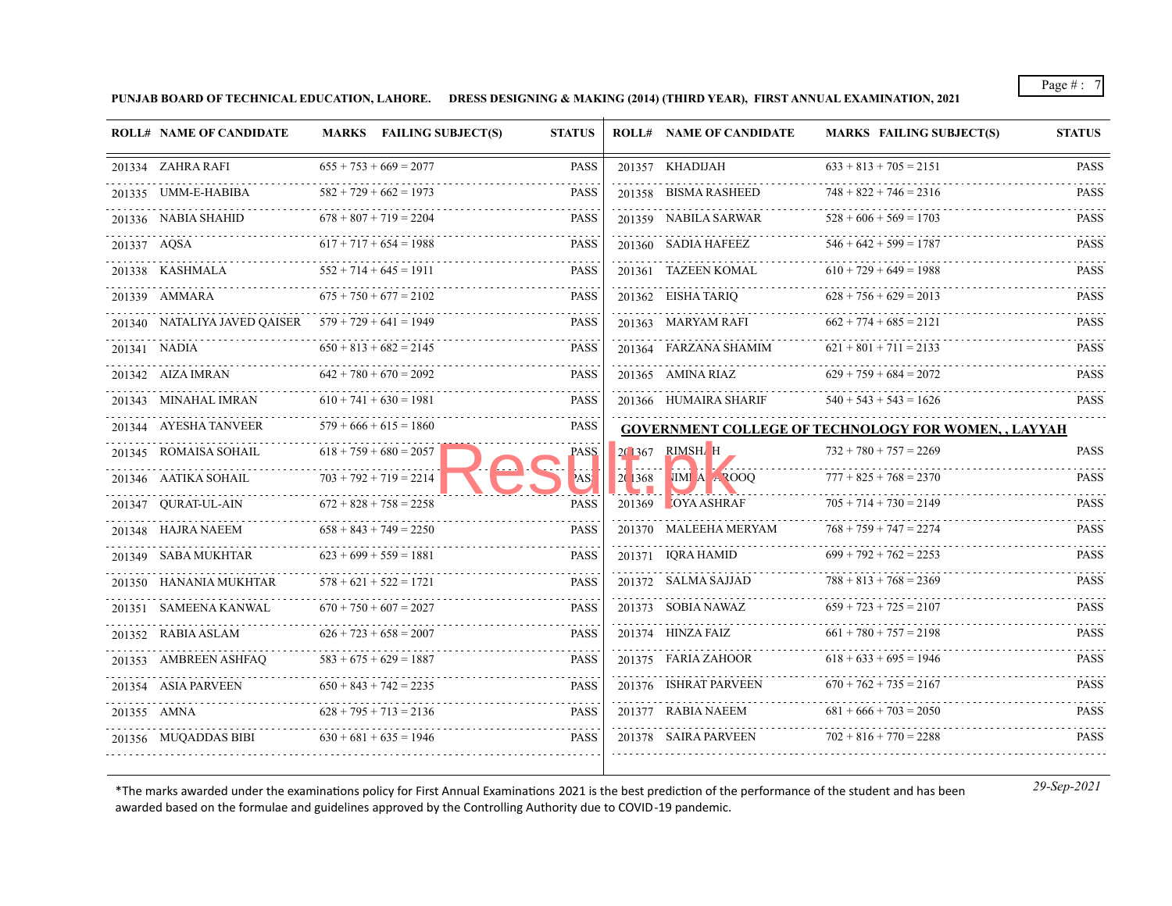**PUNJAB BOARD OF TECHNICAL EDUCATION, LAHORE. DRESS DESIGNING & MAKING (2014) (THIRD YEAR), FIRST ANNUAL EXAMINATION, 2021**

| <b>ROLL# NAME OF CANDIDATE</b> |                                                                                                                                                                                                                                                                                                                                                                                                                                                                                                    | MARKS FAILING SUBJECT(S) | <b>STATUS</b>                                                                                                                                                                                                                                                                                                                                                                                                                                                                                                                                                                                                                                                                                 |         | <b>ROLL# NAME OF CANDIDATE</b> | <b>MARKS FAILING SUBJECT(S)</b>                                                                                                                                                                                                                                                                                                                                                                                                                                                       | <b>STATUS</b>                                                         |
|--------------------------------|----------------------------------------------------------------------------------------------------------------------------------------------------------------------------------------------------------------------------------------------------------------------------------------------------------------------------------------------------------------------------------------------------------------------------------------------------------------------------------------------------|--------------------------|-----------------------------------------------------------------------------------------------------------------------------------------------------------------------------------------------------------------------------------------------------------------------------------------------------------------------------------------------------------------------------------------------------------------------------------------------------------------------------------------------------------------------------------------------------------------------------------------------------------------------------------------------------------------------------------------------|---------|--------------------------------|---------------------------------------------------------------------------------------------------------------------------------------------------------------------------------------------------------------------------------------------------------------------------------------------------------------------------------------------------------------------------------------------------------------------------------------------------------------------------------------|-----------------------------------------------------------------------|
|                                |                                                                                                                                                                                                                                                                                                                                                                                                                                                                                                    |                          | <b>PASS</b>                                                                                                                                                                                                                                                                                                                                                                                                                                                                                                                                                                                                                                                                                   |         |                                | $633 + 813 + 705 = 2151$                                                                                                                                                                                                                                                                                                                                                                                                                                                              | <b>PASS</b>                                                           |
|                                |                                                                                                                                                                                                                                                                                                                                                                                                                                                                                                    |                          | <b>PASS</b>                                                                                                                                                                                                                                                                                                                                                                                                                                                                                                                                                                                                                                                                                   |         |                                | $748 + 822 + 746 = 2316$                                                                                                                                                                                                                                                                                                                                                                                                                                                              | PASS                                                                  |
|                                |                                                                                                                                                                                                                                                                                                                                                                                                                                                                                                    |                          | <b>PASS</b>                                                                                                                                                                                                                                                                                                                                                                                                                                                                                                                                                                                                                                                                                   |         |                                | $528 + 606 + 569 = 1703$                                                                                                                                                                                                                                                                                                                                                                                                                                                              | <b>PASS</b>                                                           |
|                                |                                                                                                                                                                                                                                                                                                                                                                                                                                                                                                    |                          | <b>PASS</b>                                                                                                                                                                                                                                                                                                                                                                                                                                                                                                                                                                                                                                                                                   |         |                                | $546 + 642 + 599 = 1787$                                                                                                                                                                                                                                                                                                                                                                                                                                                              | <b>PASS</b>                                                           |
|                                |                                                                                                                                                                                                                                                                                                                                                                                                                                                                                                    |                          | <b>PASS</b>                                                                                                                                                                                                                                                                                                                                                                                                                                                                                                                                                                                                                                                                                   |         |                                | $610 + 729 + 649 = 1988$                                                                                                                                                                                                                                                                                                                                                                                                                                                              | <b>PASS</b>                                                           |
|                                |                                                                                                                                                                                                                                                                                                                                                                                                                                                                                                    |                          | <b>PASS</b>                                                                                                                                                                                                                                                                                                                                                                                                                                                                                                                                                                                                                                                                                   |         |                                | $628 + 756 + 629 = 2013$                                                                                                                                                                                                                                                                                                                                                                                                                                                              | <b>PASS</b>                                                           |
|                                |                                                                                                                                                                                                                                                                                                                                                                                                                                                                                                    |                          | <b>PASS</b>                                                                                                                                                                                                                                                                                                                                                                                                                                                                                                                                                                                                                                                                                   |         |                                | $662 + 774 + 685 = 2121$                                                                                                                                                                                                                                                                                                                                                                                                                                                              | <b>PASS</b>                                                           |
|                                |                                                                                                                                                                                                                                                                                                                                                                                                                                                                                                    |                          | <b>PASS</b>                                                                                                                                                                                                                                                                                                                                                                                                                                                                                                                                                                                                                                                                                   |         |                                | $621 + 801 + 711 = 2133$                                                                                                                                                                                                                                                                                                                                                                                                                                                              | <b>PASS</b>                                                           |
|                                |                                                                                                                                                                                                                                                                                                                                                                                                                                                                                                    |                          | <b>PASS</b>                                                                                                                                                                                                                                                                                                                                                                                                                                                                                                                                                                                                                                                                                   |         |                                | $629 + 759 + 684 = 2072$                                                                                                                                                                                                                                                                                                                                                                                                                                                              | <b>PASS</b>                                                           |
|                                |                                                                                                                                                                                                                                                                                                                                                                                                                                                                                                    |                          | <b>PASS</b>                                                                                                                                                                                                                                                                                                                                                                                                                                                                                                                                                                                                                                                                                   |         |                                | $540 + 543 + 543 = 1626$                                                                                                                                                                                                                                                                                                                                                                                                                                                              | $-1 - 1 - 1 - 1$<br><b>PASS</b>                                       |
|                                |                                                                                                                                                                                                                                                                                                                                                                                                                                                                                                    |                          | <b>PASS</b>                                                                                                                                                                                                                                                                                                                                                                                                                                                                                                                                                                                                                                                                                   |         |                                |                                                                                                                                                                                                                                                                                                                                                                                                                                                                                       |                                                                       |
|                                |                                                                                                                                                                                                                                                                                                                                                                                                                                                                                                    |                          | <b>PASS</b>                                                                                                                                                                                                                                                                                                                                                                                                                                                                                                                                                                                                                                                                                   |         |                                | $732 + 780 + 757 = 2269$                                                                                                                                                                                                                                                                                                                                                                                                                                                              | <b>PASS</b>                                                           |
|                                |                                                                                                                                                                                                                                                                                                                                                                                                                                                                                                    |                          | AS!                                                                                                                                                                                                                                                                                                                                                                                                                                                                                                                                                                                                                                                                                           | 20 1368 | NIMA A 3000                    | $777 + 825 + 768 = 2370$                                                                                                                                                                                                                                                                                                                                                                                                                                                              | <b>PASS</b>                                                           |
|                                |                                                                                                                                                                                                                                                                                                                                                                                                                                                                                                    |                          | <b>PASS</b>                                                                                                                                                                                                                                                                                                                                                                                                                                                                                                                                                                                                                                                                                   |         |                                | $705 + 714 + 730 = 2149$                                                                                                                                                                                                                                                                                                                                                                                                                                                              | <b>PASS</b>                                                           |
|                                |                                                                                                                                                                                                                                                                                                                                                                                                                                                                                                    |                          | <b>PASS</b>                                                                                                                                                                                                                                                                                                                                                                                                                                                                                                                                                                                                                                                                                   |         |                                | $768 + 759 + 747 = 2274$                                                                                                                                                                                                                                                                                                                                                                                                                                                              | <b>PASS</b>                                                           |
|                                |                                                                                                                                                                                                                                                                                                                                                                                                                                                                                                    |                          | <b>PASS</b>                                                                                                                                                                                                                                                                                                                                                                                                                                                                                                                                                                                                                                                                                   |         |                                | $699 + 792 + 762 = 2253$                                                                                                                                                                                                                                                                                                                                                                                                                                                              | <b>PASS</b>                                                           |
|                                |                                                                                                                                                                                                                                                                                                                                                                                                                                                                                                    |                          | <b>PASS</b>                                                                                                                                                                                                                                                                                                                                                                                                                                                                                                                                                                                                                                                                                   |         |                                | $788 + 813 + 768 = 2369$                                                                                                                                                                                                                                                                                                                                                                                                                                                              | <b>PASS</b>                                                           |
|                                |                                                                                                                                                                                                                                                                                                                                                                                                                                                                                                    |                          | <b>PASS</b>                                                                                                                                                                                                                                                                                                                                                                                                                                                                                                                                                                                                                                                                                   |         |                                | $659 + 723 + 725 = 2107$                                                                                                                                                                                                                                                                                                                                                                                                                                                              | <b>PASS</b>                                                           |
|                                |                                                                                                                                                                                                                                                                                                                                                                                                                                                                                                    |                          | <b>PASS</b>                                                                                                                                                                                                                                                                                                                                                                                                                                                                                                                                                                                                                                                                                   |         |                                | $661 + 780 + 757 = 2198$                                                                                                                                                                                                                                                                                                                                                                                                                                                              | <b>PASS</b>                                                           |
|                                |                                                                                                                                                                                                                                                                                                                                                                                                                                                                                                    |                          | <b>PASS</b>                                                                                                                                                                                                                                                                                                                                                                                                                                                                                                                                                                                                                                                                                   |         |                                | $618 + 633 + 695 = 1946$                                                                                                                                                                                                                                                                                                                                                                                                                                                              | <b>PASS</b>                                                           |
|                                |                                                                                                                                                                                                                                                                                                                                                                                                                                                                                                    |                          | <b>PASS</b>                                                                                                                                                                                                                                                                                                                                                                                                                                                                                                                                                                                                                                                                                   |         |                                | $670 + 762 + 735 = 2167$                                                                                                                                                                                                                                                                                                                                                                                                                                                              | <b>PASS</b>                                                           |
|                                |                                                                                                                                                                                                                                                                                                                                                                                                                                                                                                    |                          | <b>PASS</b>                                                                                                                                                                                                                                                                                                                                                                                                                                                                                                                                                                                                                                                                                   |         |                                | $681 + 666 + 703 = 2050$                                                                                                                                                                                                                                                                                                                                                                                                                                                              | <b>PASS</b>                                                           |
|                                |                                                                                                                                                                                                                                                                                                                                                                                                                                                                                                    |                          | <b>PASS</b>                                                                                                                                                                                                                                                                                                                                                                                                                                                                                                                                                                                                                                                                                   |         |                                | $702 + 816 + 770 = 2288$                                                                                                                                                                                                                                                                                                                                                                                                                                                              | <b>PASS</b>                                                           |
|                                | 201334 ZAHRA RAFI<br>201335 UMM-E-HABIBA<br>201336 NABIA SHAHID<br>201337 AQSA<br>201338 KASHMALA<br>201339 AMMARA<br>201341 NADIA<br>201342 AIZA IMRAN<br>201343 MINAHAL IMRAN<br>201344 AYESHA TANVEER<br>201345 ROMAISA SOHAIL<br>201346 AATIKA SOHAIL<br>201347 QURAT-UL-AIN<br>201348 HAJRA NAEEM<br>201349 SABA MUKHTAR<br>201350 HANANIA MUKHTAR<br>201351 SAMEENA KANWAL<br>201352 RABIA ASLAM<br>201353 AMBREEN ASHFAQ<br>201354 ASIA PARVEEN<br>.<br>201355 AMNA<br>201356 MUQADDAS BIBI |                          | $655 + 753 + 669 = 2077$<br>$582 + 729 + 662 = 1973$<br>$678 + 807 + 719 = 2204$<br>$617 + 717 + 654 = 1988$<br>$552 + 714 + 645 = 1911$<br>$675 + 750 + 677 = 2102$<br>201340 NATALIYA JAVED QAISER $579 + 729 + 641 = 1949$<br>$650 + 813 + 682 = 2145$<br>$642 + 780 + 670 = 2092$<br>$610 + 741 + 630 = 1981$<br>$579 + 666 + 615 = 1860$<br>$618 + 759 + 680 = 2057$<br>$703 + 792 + 719 = 2214$<br>$672 + 828 + 758 = 2258$<br>$658 + 843 + 749 = 2250$<br>$623 + 699 + 559 = 1881$<br>$578 + 621 + 522 = 1721$<br>$670 + 750 + 607 = 2027$<br>$626 + 723 + 658 = 2007$<br>$583 + 675 + 629 = 1887$<br>$650 + 843 + 742 = 2235$<br>$628 + 795 + 713 = 2136$<br>$630 + 681 + 635 = 1946$ |         |                                | 201357 KHADIJAH<br>201358 BISMA RASHEED<br>201359 NABILA SARWAR<br>201360 SADIA HAFEEZ<br>201361 TAZEEN KOMAL<br>201362 EISHA TARIQ<br>201363 MARYAM RAFI<br>201364 FARZANA SHAMIM<br>201365 AMINA RIAZ<br>201366 HUMAIRA SHARIF<br>20 367 RIMSH H<br>201369 OYA ASHRAF<br>201370 MALEEHA MERYAM<br>201371 IQRA HAMID<br>201372 SALMA SAJJAD<br>201373 SOBIA NAWAZ<br>201374 HINZA FAIZ<br>201375 FARIA ZAHOOR<br>201376 ISHRAT PARVEEN<br>201377 RABIA NAEEM<br>201378 SAIRA PARVEEN | <b>GOVERNMENT COLLEGE OF TECHNOLOGY FOR WOMEN, , LAYYAH</b><br>.<br>. |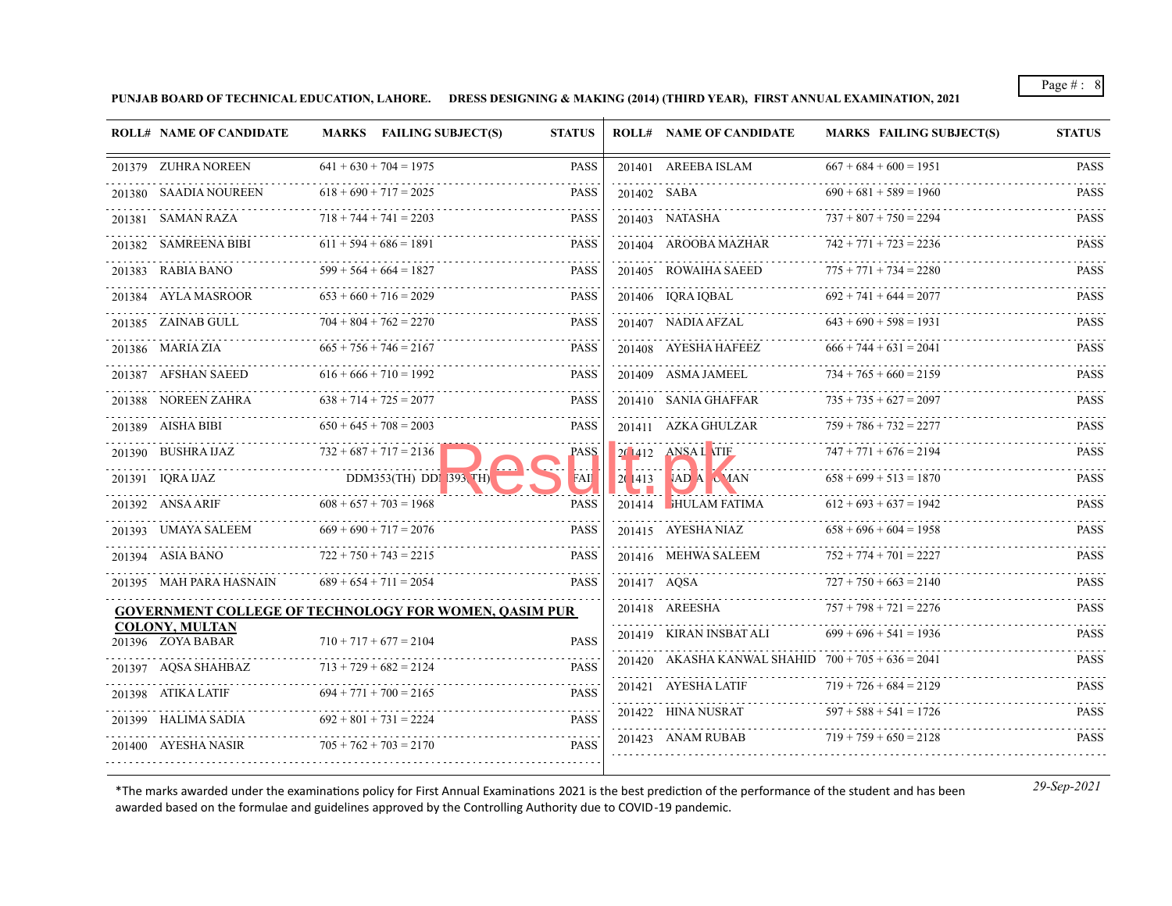**PUNJAB BOARD OF TECHNICAL EDUCATION, LAHORE. DRESS DESIGNING & MAKING (2014) (THIRD YEAR), FIRST ANNUAL EXAMINATION, 2021**

| <b>ROLL# NAME OF CANDIDATE</b>                               | MARKS FAILING SUBJECT(S)       | <b>STATUS</b> |             | <b>ROLL# NAME OF CANDIDATE</b>                       | <b>MARKS FAILING SUBJECT(S)</b> | <b>STATUS</b>    |
|--------------------------------------------------------------|--------------------------------|---------------|-------------|------------------------------------------------------|---------------------------------|------------------|
| 201379 ZUHRA NOREEN                                          | $641 + 630 + 704 = 1975$       | <b>PASS</b>   |             | 201401 AREEBA ISLAM                                  | $667 + 684 + 600 = 1951$        | <b>PASS</b>      |
| 201380 SAADIA NOUREEN                                        | $618 + 690 + 717 = 2025$       | <b>PASS</b>   |             | 201402 SABA                                          | $690 + 681 + 589 = 1960$        | <b>PASS</b>      |
| 201381 SAMAN RAZA                                            | $718 + 744 + 741 = 2203$       | <b>PASS</b>   |             | 201403 NATASHA                                       | $737 + 807 + 750 = 2294$        | <b>PASS</b>      |
| .<br>201382 SAMREENA BIBI                                    | $611 + 594 + 686 = 1891$       | <b>PASS</b>   |             | 201404 AROOBA MAZHAR                                 | $742 + 771 + 723 = 2236$        | <b>PASS</b>      |
| 201383 RABIA BANO                                            | $599 + 564 + 664 = 1827$       | <b>PASS</b>   |             | 201405 ROWAIHA SAEED                                 | $775 + 771 + 734 = 2280$        | <b>PASS</b>      |
| 201384 AYLA MASROOR                                          | $653 + 660 + 716 = 2029$       | <b>PASS</b>   |             | 201406 IQRA IQBAL                                    | $692 + 741 + 644 = 2077$        | .<br><b>PASS</b> |
| 201385 ZAINAB GULL                                           | $704 + 804 + 762 = 2270$       | <b>PASS</b>   |             | 201407 NADIA AFZAL                                   | $643 + 690 + 598 = 1931$        | <b>PASS</b>      |
| 201386 MARIA ZIA                                             | $665 + 756 + 746 = 2167$       | <b>PASS</b>   |             | 201408 AYESHA HAFEEZ                                 | $666 + 744 + 631 = 2041$        | .<br><b>PASS</b> |
| 201387 AFSHAN SAEED<br>.                                     | $616 + 666 + 710 = 1992$       | <b>PASS</b>   |             | 201409 ASMA JAMEEL                                   | $734 + 765 + 660 = 2159$        | <b>PASS</b>      |
| 201388 NOREEN ZAHRA                                          | $638 + 714 + 725 = 2077$       | <b>PASS</b>   |             | 201410 SANIA GHAFFAR                                 | $735 + 735 + 627 = 2097$        | <b>PASS</b>      |
| 201389 AISHA BIBI                                            | $650 + 645 + 708 = 2003$       | <b>PASS</b>   |             | 201411 AZKA GHULZAR<br>.                             | $759 + 786 + 732 = 2277$        | <b>PASS</b>      |
| 201390 BUSHRA IJAZ                                           | $732 + 687 + 717 = 2136$       | <b>PASS</b>   |             | 20 412 ANSAL TIE<br>.                                | $747 + 771 + 676 = 2194$        | <b>PASS</b>      |
| 201391 IQRA IJAZ                                             | $DDM353(TH)$ $DDN$ $393$ $TH)$ | FАII          | 2(1413)     | VAD A C JAN                                          | $658 + 699 + 513 = 1870$        | <b>PASS</b>      |
| 201392 ANSA ARIF<br>.                                        | $608 + 657 + 703 = 1968$       | <b>PASS</b>   |             | 201414 HULAM FATIMA                                  | $612 + 693 + 637 = 1942$        | <b>PASS</b>      |
| 201393 UMAYA SALEEM                                          | $669 + 690 + 717 = 2076$       | <b>PASS</b>   |             | 201415 AYESHA NIAZ                                   | $658 + 696 + 604 = 1958$        | <b>PASS</b>      |
| 201394 ASIA BANO                                             | $722 + 750 + 743 = 2215$       | <b>PASS</b>   |             | 201416 MEHWA SALEEM                                  | $752 + 774 + 701 = 2227$        | <b>PASS</b>      |
| 201395 MAH PARA HASNAIN                                      | $689 + 654 + 711 = 2054$       | <b>PASS</b>   | 201417 AQSA | .                                                    | $727 + 750 + 663 = 2140$        | <b>PASS</b>      |
| <b>GOVERNMENT COLLEGE OF TECHNOLOGY FOR WOMEN, OASIM PUR</b> |                                |               |             | 201418 AREESHA                                       | $757 + 798 + 721 = 2276$        | <b>PASS</b>      |
| <b>COLONY, MULTAN</b><br>$201396$ ZOYA BABAR                 | $710 + 717 + 677 = 2104$       | <b>PASS</b>   |             | 201419 KIRAN INSBAT ALI                              | $699 + 696 + 541 = 1936$        | <b>PASS</b>      |
| 201397 AOSA SHAHBAZ                                          | $713 + 729 + 682 = 2124$       | <b>PASS</b>   |             | 201420 AKASHA KANWAL SHAHID $700 + 705 + 636 = 2041$ |                                 | <b>PASS</b>      |
| 201398 ATIKA LATIF                                           | $694 + 771 + 700 = 2165$       | <b>PASS</b>   |             | 201421 AYESHA LATIF                                  | $719 + 726 + 684 = 2129$        | <b>PASS</b>      |
| 201399 - HALIMA SADIA                                        | $692 + 801 + 731 = 2224$       | <b>PASS</b>   |             | 201422 HINA NUSRAT                                   | $597 + 588 + 541 = 1726$        | .<br><b>PASS</b> |
| 201400 AYESHA NASIR                                          | $705 + 762 + 703 = 2170$       | <b>PASS</b>   |             | .<br>201423 ANAM RUBAB                               | $719 + 759 + 650 = 2128$        | .<br><b>PASS</b> |
|                                                              |                                |               |             |                                                      |                                 |                  |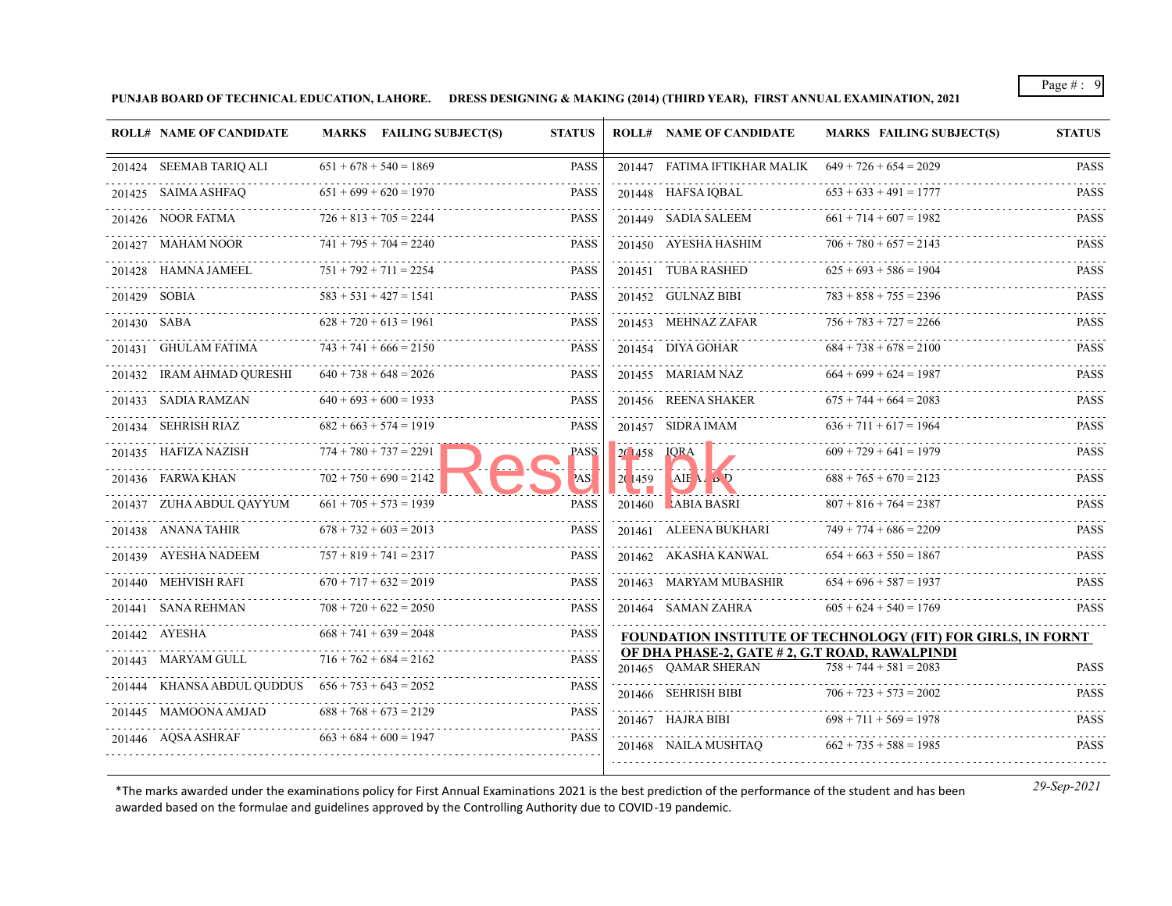**PUNJAB BOARD OF TECHNICAL EDUCATION, LAHORE. DRESS DESIGNING & MAKING (2014) (THIRD YEAR), FIRST ANNUAL EXAMINATION, 2021**

|                         | <b>ROLL# NAME OF CANDIDATE</b>                      |                          | MARKS FAILING SUBJECT(S)      | <b>STATUS</b> |                         | <b>ROLL# NAME OF CANDIDATE</b>                                        | MARKS FAILING SUBJECT(S)                                     | <b>STATUS</b>                |
|-------------------------|-----------------------------------------------------|--------------------------|-------------------------------|---------------|-------------------------|-----------------------------------------------------------------------|--------------------------------------------------------------|------------------------------|
| 201424 SEEMAB TARIQ ALI |                                                     |                          | $651 + 678 + 540 = 1869$      | <b>PASS</b>   |                         | 201447 FATIMA IFTIKHAR MALIK $649 + 726 + 654 = 2029$                 |                                                              | <b>PASS</b>                  |
| 201425 SAIMA ASHFAQ     |                                                     |                          | $651 + 699 + 620 = 1970$      | <b>PASS</b>   |                         | 201448 HAFSA IOBAL                                                    | $653 + 633 + 491 = 1777$                                     | <b>PASS</b>                  |
| 201426 NOOR FATMA       |                                                     |                          | $726 + 813 + 705 = 2244$      | <b>PASS</b>   |                         | .<br>201449 SADIA SALEEM                                              | $661 + 714 + 607 = 1982$                                     | <b>PASS</b>                  |
| 201427 MAHAM NOOR       |                                                     |                          | $741 + 795 + 704 = 2240$      | <b>PASS</b>   |                         | 201450 AYESHA HASHIM                                                  | $706 + 780 + 657 = 2143$                                     | $- - - - - -$<br><b>PASS</b> |
| 201428 HAMNA JAMEEL     |                                                     |                          | $751 + 792 + 711 = 2254$      | <b>PASS</b>   |                         | 201451 TUBA RASHED                                                    | $625 + 693 + 586 = 1904$                                     | <b>PASS</b>                  |
| 201429 SOBIA            | .                                                   |                          | $583 + 531 + 427 = 1541$      | <b>PASS</b>   |                         | .<br>201452 GULNAZ BIBI                                               | $783 + 858 + 755 = 2396$                                     | <b>PASS</b>                  |
| 201430 SABA             |                                                     |                          | $628 + 720 + 613 = 1961$      | <b>PASS</b>   |                         | 201453 MEHNAZ ZAFAR                                                   | $756 + 783 + 727 = 2266$                                     | <b>PASS</b>                  |
| 201431 GHULAM FATIMA    |                                                     |                          | $743 + 741 + 666 = 2150$      | <b>PASS</b>   |                         | 201454 DIYA GOHAR                                                     | $684 + 738 + 678 = 2100$                                     | .<br><b>PASS</b>             |
|                         |                                                     |                          | $640 + 738 + 648 = 2026$      | <b>PASS</b>   |                         | 201455 MARIAM NAZ                                                     | $664 + 699 + 624 = 1987$                                     | <b>PASS</b>                  |
| 201433 SADIA RAMZAN     |                                                     |                          | $640 + 693 + 600 = 1933$      | <b>PASS</b>   |                         | 201456 REENA SHAKER                                                   | $675 + 744 + 664 = 2083$                                     | <b>PASS</b>                  |
| 201434 SEHRISH RIAZ     |                                                     |                          | $682 + 663 + 574 = 1919$      | <b>PASS</b>   |                         | 201457 SIDRA IMAM                                                     | $636 + 711 + 617 = 1964$                                     | <b>PASS</b>                  |
| 201435 HAFIZA NAZISH    |                                                     | $774 + 780 + 737 = 2291$ |                               | PASS          | 201458 <b>IORA</b>      |                                                                       | $609 + 729 + 641 = 1979$                                     | <b>PASS</b>                  |
| 201436 FARWA KHAN       |                                                     |                          | $702 + 750 + 690 = 2142$      | AS!           | <b>Land</b><br>20   459 | $AIF$ $A$ $B$ $D$                                                     | $688 + 765 + 670 = 2123$                                     | <b>PASS</b>                  |
|                         | 201437 ZUHA ABDUL QAYYUM                            |                          | $661 + 705 + 573 = 1939$      | <b>PASS</b>   |                         | 201460 ABIA BASRI                                                     | $807 + 816 + 764 = 2387$                                     | <b>PASS</b>                  |
|                         | 201438 ANANA TAHIR                                  |                          | $678 + 732 + 603 = 2013$      | <b>PASS</b>   |                         | 201461 ALEENA BUKHARI                                                 | $749 + 774 + 686 = 2209$                                     | <b>PASS</b>                  |
| 201439 AYESHA NADEEM    |                                                     |                          | $757 + 819 + 741 = 2317$      | <b>PASS</b>   |                         | 201462 AKASHA KANWAL                                                  | $654 + 663 + 550 = 1867$                                     | <b>PASS</b>                  |
| 201440 MEHVISH RAFI     |                                                     |                          | $670 + 717 + 632 = 2019$      | <b>PASS</b>   |                         | 201463 MARYAM MUBASHIR                                                | $654 + 696 + 587 = 1937$                                     | <b>PASS</b>                  |
| 201441 SANA REHMAN      |                                                     |                          | $708 + 720 + 622 = 2050$      | <b>PASS</b>   |                         | 201464 SAMAN ZAHRA                                                    | $605 + 624 + 540 = 1769$                                     | <b>PASS</b>                  |
| 201442 AYESHA           |                                                     |                          | $668 + 741 + 639 = 2048$      | <b>PASS</b>   |                         |                                                                       | FOUNDATION INSTITUTE OF TECHNOLOGY (FIT) FOR GIRLS, IN FORNT |                              |
| 201443 MARYAM GULL      |                                                     |                          | $716 + 762 + 684 = 2162$<br>. | <b>PASS</b>   |                         | OF DHA PHASE-2, GATE # 2, G.T ROAD, RAWALPINDI<br>201465 OAMAR SHERAN | $758 + 744 + 581 = 2083$                                     | <b>PASS</b>                  |
|                         | 201444 KHANSA ABDUL QUDDUS $656 + 753 + 643 = 2052$ |                          |                               | <b>PASS</b>   |                         | 201466 SEHRISH BIBI                                                   | $706 + 723 + 573 = 2002$                                     | <b>PASS</b>                  |
| 201445 MAMOONA AMJAD    |                                                     |                          | $688 + 768 + 673 = 2129$      | <b>PASS</b>   |                         | 201467 HAJRA BIBI                                                     | $698 + 711 + 569 = 1978$                                     | <b>PASS</b>                  |
| 201446 AQSA ASHRAF      |                                                     |                          | $663 + 684 + 600 = 1947$      | <b>PASS</b>   |                         | 201468 NAILA MUSHTAQ                                                  | $662 + 735 + 588 = 1985$                                     | <b>PASS</b>                  |
|                         |                                                     |                          |                               |               |                         |                                                                       |                                                              |                              |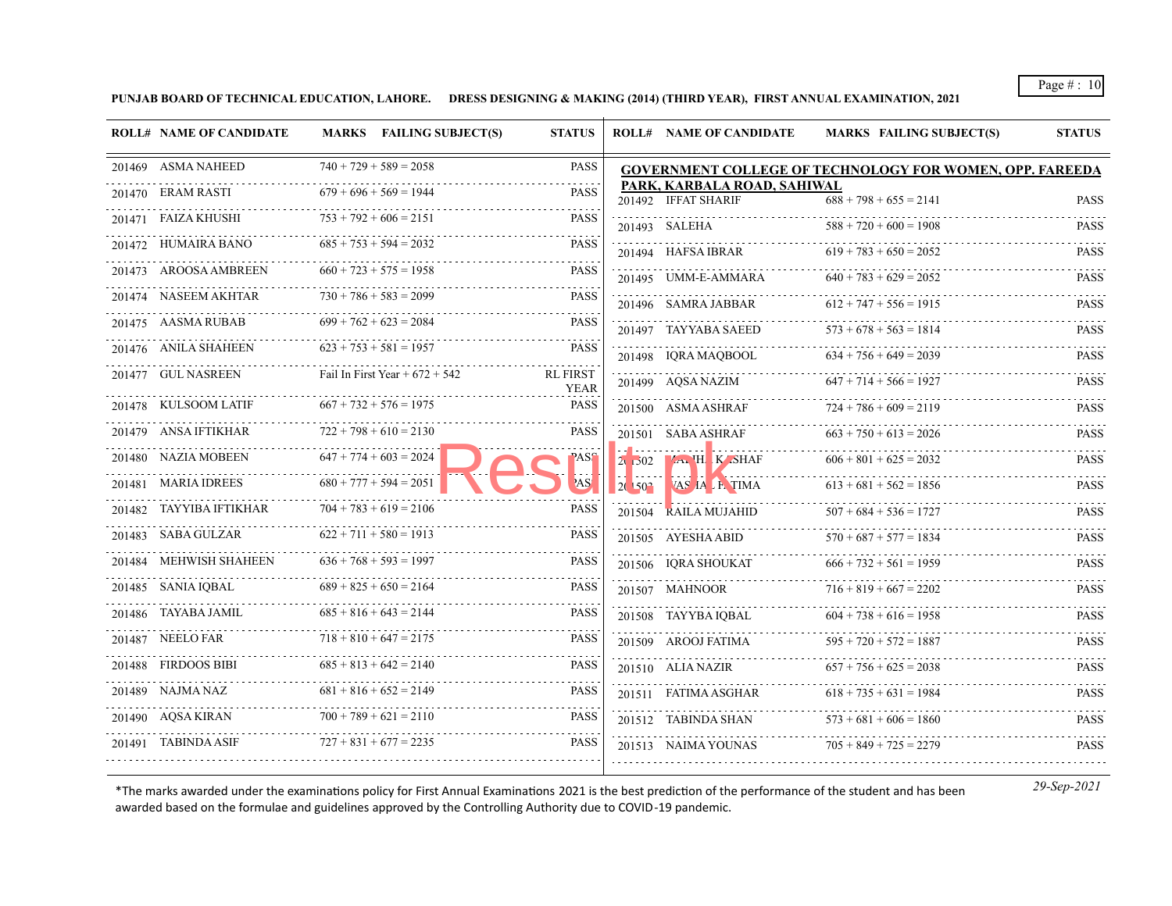**PUNJAB BOARD OF TECHNICAL EDUCATION, LAHORE. DRESS DESIGNING & MAKING (2014) (THIRD YEAR), FIRST ANNUAL EXAMINATION, 2021**

| <b>ROLL# NAME OF CANDIDATE</b> | <b>MARKS</b> FAILING SUBJECT(S)  | <b>STATUS</b>                  |            | <b>ROLL# NAME OF CANDIDATE</b>                     | <b>MARKS FAILING SUBJECT(S)</b>                                 | <b>STATUS</b> |
|--------------------------------|----------------------------------|--------------------------------|------------|----------------------------------------------------|-----------------------------------------------------------------|---------------|
| 201469 ASMA NAHEED             | $740 + 729 + 589 = 2058$         | <b>PASS</b>                    |            |                                                    | <b>GOVERNMENT COLLEGE OF TECHNOLOGY FOR WOMEN, OPP. FAREEDA</b> |               |
| 201470 ERAM RASTI              | $679 + 696 + 569 = 1944$         | <b>PASS</b>                    |            | PARK, KARBALA ROAD, SAHIWAL<br>201492 IFFAT SHARIF | $688 + 798 + 655 = 2141$                                        | <b>PASS</b>   |
| 201471 FAIZA KHUSHI            | $753 + 792 + 606 = 2151$         | <b>PASS</b>                    |            | 201493 SALEHA                                      | $588 + 720 + 600 = 1908$                                        | <b>PASS</b>   |
| 201472 HUMAIRA BANO            | $685 + 753 + 594 = 2032$         | <b>PASS</b>                    |            | 201494 HAFSA IBRAR                                 | $619 + 783 + 650 = 2052$                                        | <b>PASS</b>   |
| 201473 AROOSA AMBREEN          | $660 + 723 + 575 = 1958$         | <b>PASS</b>                    |            | 201495 UMM-E-AMMARA                                | $640 + 783 + 629 = 2052$                                        | <b>PASS</b>   |
| 201474 NASEEM AKHTAR           | $730 + 786 + 583 = 2099$         | <b>PASS</b>                    |            | 201496 SAMRA JABBAR                                | $612 + 747 + 556 = 1915$                                        | <b>PASS</b>   |
| 201475 AASMA RUBAB             | $699 + 762 + 623 = 2084$         | <b>PASS</b>                    |            | 201497 TAYYABA SAEED                               | $573 + 678 + 563 = 1814$                                        | <b>PASS</b>   |
| 201476 ANILA SHAHEEN           | $623 + 753 + 581 = 1957$         | <b>PASS</b>                    |            | 201498 IQRA MAQBOOL                                | $634 + 756 + 649 = 2039$                                        | <b>PASS</b>   |
| 201477 GUL NASREEN             | Fail In First Year + $672 + 542$ | <b>RL FIRST</b><br><b>YEAR</b> |            | 201499 AQSA NAZIM                                  | $647 + 714 + 566 = 1927$                                        | <b>PASS</b>   |
| 201478 KULSOOM LATIF           | $667 + 732 + 576 = 1975$         | <b>PASS</b>                    |            | 201500 ASMA ASHRAF                                 | $724 + 786 + 609 = 2119$                                        | <b>PASS</b>   |
| 201479 ANSA IFTIKHAR           | $722 + 798 + 610 = 2130$         | PASS                           |            | 201501 SABA ASHRAF                                 | $663 + 750 + 613 = 2026$                                        | <b>PASS</b>   |
| 201480 NAZIA MOBEEN            | $647 + 774 + 603 = 2024$         | ASS                            |            | $2.502$ $4.1$ H K SHAF                             | $606 + 801 + 625 = 2032$                                        | <b>PASS</b>   |
| 201481 MARIA IDREES            | $680 + 777 + 594 = 2051$         | AS <sup>'</sup>                | $2(150^2)$ | VAS AA E TIMA                                      | $613 + 681 + 562 = 1856$                                        | <b>PASS</b>   |
| 201482 TAYYIBA IFTIKHAR        | $704 + 783 + 619 = 2106$         | <b>PASS</b>                    |            | 201504 RAILA MUJAHID                               | $507 + 684 + 536 = 1727$                                        | <b>PASS</b>   |
| 201483 SABA GULZAR             | $622 + 711 + 580 = 1913$         | <b>PASS</b>                    |            | 201505 AYESHA ABID                                 | $570 + 687 + 577 = 1834$                                        | <b>PASS</b>   |
| 201484 MEHWISH SHAHEEN         | $636 + 768 + 593 = 1997$         | <b>PASS</b>                    |            | 201506 IQRA SHOUKAT                                | $666 + 732 + 561 = 1959$                                        | <b>PASS</b>   |
| 201485 SANIA IQBAL             | $689 + 825 + 650 = 2164$         | <b>PASS</b>                    |            | 201507 MAHNOOR                                     | $716 + 819 + 667 = 2202$                                        | PASS          |
| 201486 TAYABA JAMIL            | $685 + 816 + 643 = 2144$         | <b>PASS</b>                    |            | 201508 TAYYBA IQBAL                                | $604 + 738 + 616 = 1958$                                        | <b>PASS</b>   |
| 201487 NEELO FAR               | $718 + 810 + 647 = 2175$         | <b>PASS</b>                    |            | 201509 AROOJ FATIMA                                | $595 + 720 + 572 = 1887$                                        | <b>PASS</b>   |
| 201488 FIRDOOS BIBI            | $685 + 813 + 642 = 2140$         | <b>PASS</b>                    |            | 201510 ALIA NAZIR                                  | $657 + 756 + 625 = 2038$                                        | <b>PASS</b>   |
| 201489 NAJMA NAZ               | $681 + 816 + 652 = 2149$         | PASS                           |            | 201511 FATIMA ASGHAR                               | $618 + 735 + 631 = 1984$                                        | <b>PASS</b>   |
| 201490 AQSA KIRAN              | $700 + 789 + 621 = 2110$         | <b>PASS</b>                    |            | 201512 TABINDA SHAN                                | $573 + 681 + 606 = 1860$                                        | <b>PASS</b>   |
| 201491 TABINDA ASIF            | $727 + 831 + 677 = 2235$         | PASS                           |            | 201513 NAIMA YOUNAS                                | $705 + 849 + 725 = 2279$                                        | <b>PASS</b>   |
|                                |                                  |                                |            |                                                    |                                                                 |               |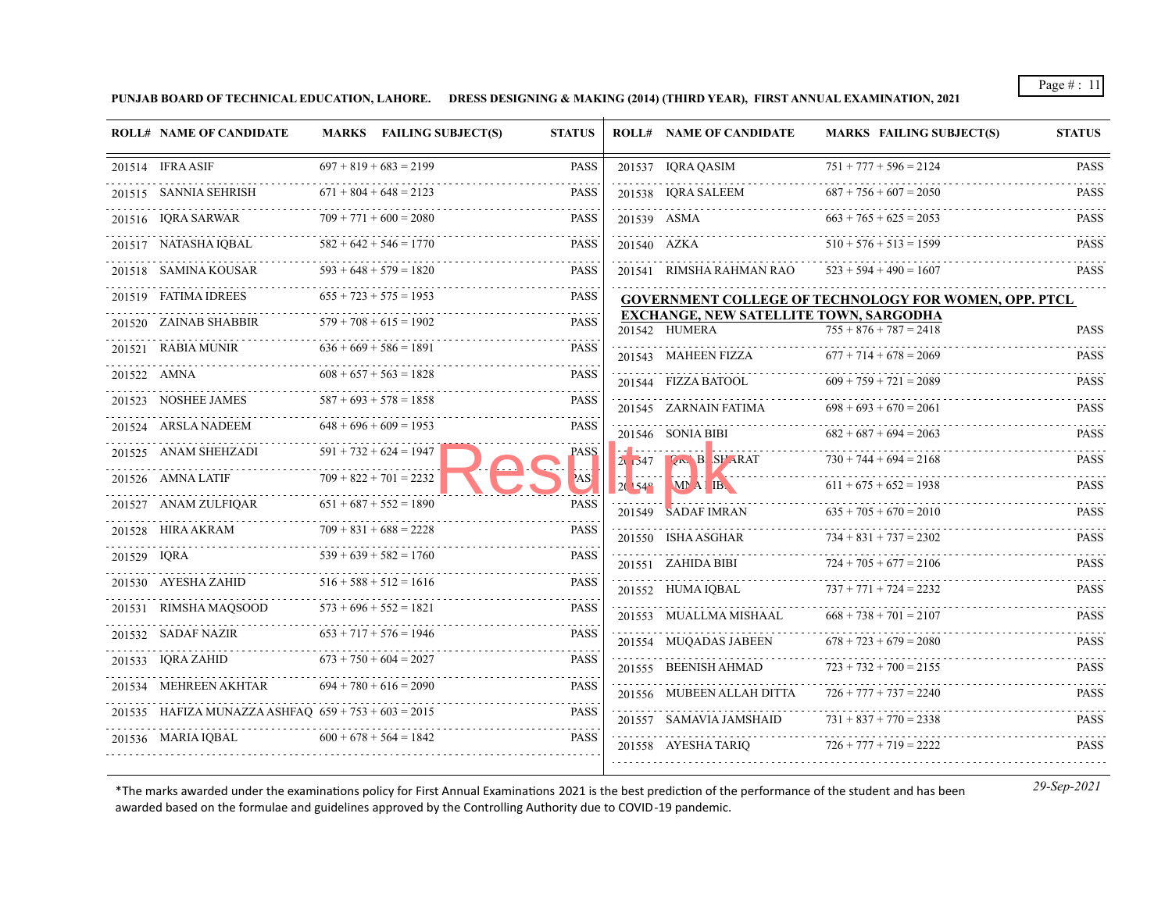**PUNJAB BOARD OF TECHNICAL EDUCATION, LAHORE. DRESS DESIGNING & MAKING (2014) (THIRD YEAR), FIRST ANNUAL EXAMINATION, 2021**

| <b>ROLL# NAME OF CANDIDATE</b> | MARKS FAILING SUBJECT(S)                              | <b>STATUS</b> |                | <b>ROLL# NAME OF CANDIDATE</b>                                 | <b>MARKS FAILING SUBJECT(S)</b>                              | <b>STATUS</b>    |
|--------------------------------|-------------------------------------------------------|---------------|----------------|----------------------------------------------------------------|--------------------------------------------------------------|------------------|
| 201514 IFRA ASIF               | $697 + 819 + 683 = 2199$                              | <b>PASS</b>   |                | 201537 IQRA QASIM                                              | $751 + 777 + 596 = 2124$                                     | <b>PASS</b>      |
| 201515 SANNIA SEHRISH          | $671 + 804 + 648 = 2123$                              | <b>PASS</b>   |                | 201538 IQRA SALEEM                                             | $687 + 756 + 607 = 2050$                                     | <b>PASS</b>      |
| 201516 IQRA SARWAR             | $709 + 771 + 600 = 2080$                              | <b>PASS</b>   |                | 201539 ASMA                                                    | $663 + 765 + 625 = 2053$                                     | <b>PASS</b>      |
| 201517 NATASHA IQBAL           | $582 + 642 + 546 = 1770$                              | <b>PASS</b>   |                | 201540 AZKA                                                    | $510 + 576 + 513 = 1599$                                     | <b>PASS</b>      |
| 201518 SAMINA KOUSAR           | $593 + 648 + 579 = 1820$                              | <b>PASS</b>   |                | 201541 RIMSHA RAHMAN RAO                                       | $523 + 594 + 490 = 1607$                                     | <b>PASS</b>      |
| 201519 FATIMA IDREES           | $655 + 723 + 575 = 1953$                              | <b>PASS</b>   |                |                                                                | <b>GOVERNMENT COLLEGE OF TECHNOLOGY FOR WOMEN, OPP. PTCL</b> | .                |
| 201520 ZAINAB SHABBIR          | $579 + 708 + 615 = 1902$                              | <b>PASS</b>   |                | <b>EXCHANGE, NEW SATELLITE TOWN, SARGODHA</b><br>201542 HUMERA | $755 + 876 + 787 = 2418$                                     | <b>PASS</b>      |
| 201521 RABIA MUNIR             | $636 + 669 + 586 = 1891$                              | <b>PASS</b>   |                | 201543 MAHEEN FIZZA                                            | $677 + 714 + 678 = 2069$                                     | <b>PASS</b>      |
| 201522 AMNA                    | $608 + 657 + 563 = 1828$                              | <b>PASS</b>   |                | 201544 FIZZA BATOOL                                            | $609 + 759 + 721 = 2089$                                     | <b>PASS</b>      |
| 201523 NOSHEE JAMES            | $587 + 693 + 578 = 1858$                              | <b>PASS</b>   |                | 201545 ZARNAIN FATIMA                                          | $698 + 693 + 670 = 2061$                                     | <b>PASS</b>      |
| 201524 ARSLA NADEEM            | $648 + 696 + 609 = 1953$                              | <b>PASS</b>   |                | 201546 SONIA BIBI                                              | $682 + 687 + 694 = 2063$                                     | <b>PASS</b>      |
| 201525 ANAM SHEHZADI           | $591 + 732 + 624 = 1947$                              | PASS          |                | $2.547$ $\sqrt{\text{N}}$ B SFARAT                             | $730 + 744 + 694 = 2168$                                     | <b>PASS</b>      |
| 201526 AMNA LATIF              | $709 + 822 + 701 = 2232$                              | AS!           | $2(154^\circ)$ | <b>A. P. M. A. P. M. Marshall</b><br>MAI IB.                   | $611 + 675 + 652 = 1938$                                     | <b>PASS</b>      |
| 201527 ANAM ZULFIOAR           | $651 + 687 + 552 = 1890$                              | <b>PASS</b>   |                | 201549 SADAF IMRAN                                             | $635 + 705 + 670 = 2010$                                     | <b>PASS</b>      |
| 201528 HIRA AKRAM              | $709 + 831 + 688 = 2228$                              | <b>PASS</b>   |                | 201550 ISHA ASGHAR                                             | $734 + 831 + 737 = 2302$                                     | <b>PASS</b>      |
| 201529 IQRA                    | $539 + 639 + 582 = 1760$                              | <b>PASS</b>   |                | 201551 ZAHIDA BIBI                                             | $724 + 705 + 677 = 2106$                                     | <b>PASS</b>      |
| 201530 AYESHA ZAHID            | $516 + 588 + 512 = 1616$                              | <b>PASS</b>   |                | 201552 HUMA IQBAL                                              | $737 + 771 + 724 = 2232$                                     | <b>PASS</b>      |
| 201531 RIMSHA MAQSOOD          | $573 + 696 + 552 = 1821$                              | <b>PASS</b>   |                | 201553 MUALLMA MISHAAL                                         | $668 + 738 + 701 = 2107$                                     | <b>PASS</b>      |
| 201532 SADAF NAZIR             | $653 + 717 + 576 = 1946$                              | <b>PASS</b>   |                | 201554 MUQADAS JABEEN                                          | $678 + 723 + 679 = 2080$                                     | <b>PASS</b>      |
| 201533 IQRA ZAHID              | $673 + 750 + 604 = 2027$<br>.                         | <b>PASS</b>   |                | 201555 BEENISH AHMAD                                           | $723 + 732 + 700 = 2155$                                     | <b>PASS</b>      |
| 201534 MEHREEN AKHTAR          | $694 + 780 + 616 = 2090$<br>.                         | <b>PASS</b>   |                | 201556 MUBEEN ALLAH DITTA $726 + 777 + 737 = 2240$             |                                                              | .<br><b>PASS</b> |
|                                | 201535 HAFIZA MUNAZZA ASHFAO $659 + 753 + 603 = 2015$ | <b>PASS</b>   |                | 201557 SAMAVIA JAMSHAID                                        | $731 + 837 + 770 = 2338$                                     | <b>PASS</b>      |
| 201536 MARIA IQBAL             | $600 + 678 + 564 = 1842$                              | <b>PASS</b>   |                | 201558 AYESHA TARIQ $726 + 777 + 719 = 2222$                   |                                                              | <b>PASS</b>      |
|                                |                                                       |               |                |                                                                |                                                              |                  |